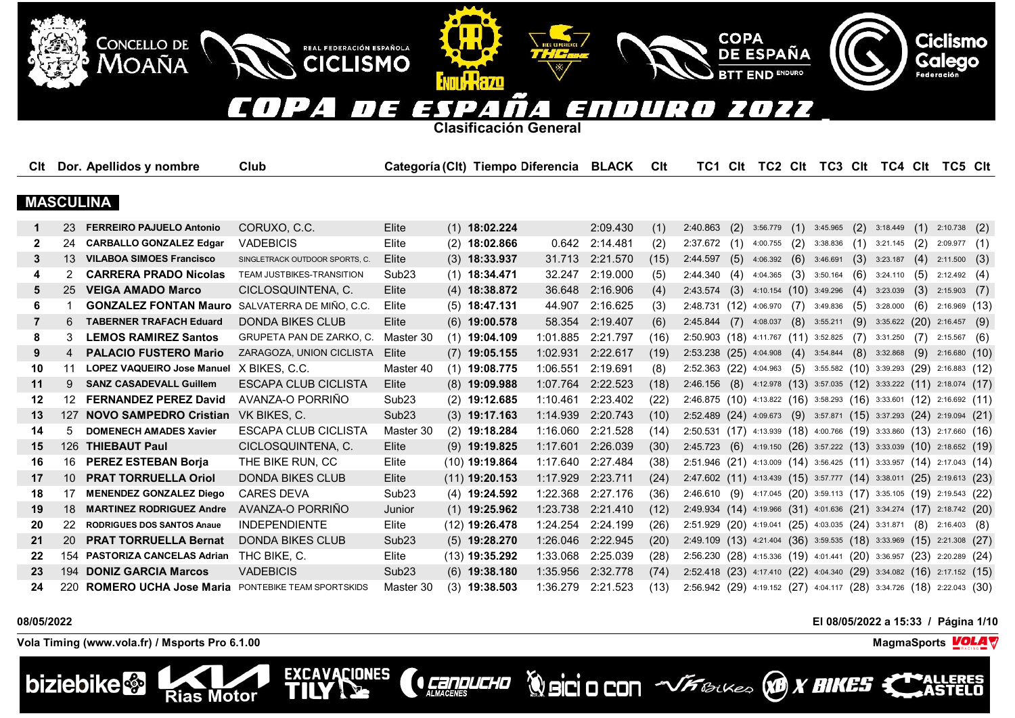#### $\overline{ }$  $\blacksquare$ F TY 7 En  $\sqrt{1}$ T I  $\overline{ }$ E  $\overline{\phantom{a}}$

**Clasificación General**

**ENTILL HAZD** 

REAL FEDERACIÓN ESPAÑOLA

**CICLISMO** 

EXCAVACIONES

| Clt          |                 | Dor. Apellidos y nombre           | Club                           |                   | Categoría (Clt) Tiempo Diferencia BLACK |                   |                 | Clt  | TC1 Clt                                                                         |     |          |     | TC2 CIt TC3 CIt TC4 CIt TC5 CIt                       |     |                               |     |                       |      |
|--------------|-----------------|-----------------------------------|--------------------------------|-------------------|-----------------------------------------|-------------------|-----------------|------|---------------------------------------------------------------------------------|-----|----------|-----|-------------------------------------------------------|-----|-------------------------------|-----|-----------------------|------|
|              |                 |                                   |                                |                   |                                         |                   |                 |      |                                                                                 |     |          |     |                                                       |     |                               |     |                       |      |
|              |                 | <b>MASCULINA</b>                  |                                |                   |                                         |                   |                 |      |                                                                                 |     |          |     |                                                       |     |                               |     |                       |      |
|              | 23              | <b>FERREIRO PAJUELO Antonio</b>   | CORUXO, C.C.                   | Elite             | $(1)$ 18:02.224                         |                   | 2:09.430        | (1)  | 2:40.863                                                                        | (2) | 3:56.779 | (1) | 3:45.965                                              |     | $(2)$ 3:18.449 $(1)$ 2:10.738 |     |                       | (2)  |
| $\mathbf{2}$ | 24              | <b>CARBALLO GONZALEZ Edgar</b>    | <b>VADEBICIS</b>               | Elite             | $(2)$ 18:02.866                         | 0.642             | 2:14.481        | (2)  | 2:37.672                                                                        | (1) | 4:00.755 | (2) | 3:38.836                                              |     | $(1)$ 3:21.145                | (2) | 2:09.977              | (1)  |
| 3            |                 | 13 VILABOA SIMOES Francisco       | SINGLETRACK OUTDOOR SPORTS, C. | Elite             | $(3)$ 18:33.937                         |                   | 31.713 2:21.570 | (15) | 2:44.597                                                                        | (5) | 4:06.392 | (6) | 3:46.691                                              | (3) | 3:23.187                      | (4) | 2:11.500              | (3)  |
| 4            |                 | <b>CARRERA PRADO Nicolas</b>      | TEAM JUSTBIKES-TRANSITION      | Sub <sub>23</sub> | $(1)$ 18:34.471                         | 32.247            | 2:19.000        | (5)  | 2:44.340(4)                                                                     |     | 4:04.365 |     | $(3)$ 3:50.164                                        |     | $(6)$ 3:24.110                |     | $(5)$ 2:12.492        | (4)  |
| 5            | 25              | <b>VEIGA AMADO Marco</b>          | CICLOSQUINTENA, C.             | Elite             | $(4)$ 18:38.872                         | 36.648            | 2:16.906        | (4)  | 2:43.574                                                                        | (3) |          |     | $4:10.154$ (10) 3:49.296                              |     | $(4)$ 3:23.039                | (3) | 2:15.903              | (7)  |
| 6            |                 | <b>GONZALEZ FONTAN Mauro</b>      | SALVATERRA DE MIÑO, C.C.       | Elite             | $(5)$ 18:47.131                         | 44.907            | 2:16.625        | (3)  | 2:48.731 (12) 4:06.970                                                          |     |          |     | $(7)$ 3:49.836                                        |     | $(5)$ 3:28.000                |     | $(6)$ 2:16.969 $(13)$ |      |
| 7            | 6               | <b>TABERNER TRAFACH Eduard</b>    | <b>DONDA BIKES CLUB</b>        | Elite             | $(6)$ 19:00.578                         | 58.354            | 2:19.407        | (6)  | $2:45.844$ (7)                                                                  |     | 4:08.037 |     | $(8)$ 3:55.211                                        | (9) | $3:35.622$ (20) $2:16.457$    |     |                       | (9)  |
| 8            | 3               | <b>LEMOS RAMIREZ Santos</b>       | GRUPETA PAN DE ZARKO, C.       | Master 30         | $(1)$ 19:04.109                         | 1:01.885          | 2:21.797        | (16) | 2:50.903 (18) 4:11.767 (11) 3:52.825                                            |     |          |     |                                                       |     | $(7)$ 3:31.250                | (7) | 2:15.567              | (6)  |
| 9            | 4               | <b>PALACIO FUSTERO Mario</b>      | ZARAGOZA, UNION CICLISTA       | Elite             | $(7)$ 19:05.155                         | 1:02.931 2:22.617 |                 | (19) | 2:53.238 (25) 4:04.908                                                          |     |          |     | $(4)$ 3:54.844 $(8)$ 3:32.868 $(9)$ 2:16.680          |     |                               |     |                       | (10) |
| 10           | 11              | <b>LOPEZ VAQUEIRO Jose Manuel</b> | X BIKES, C.C.                  | Master 40         | $(1)$ 19:08.775                         | 1:06.551          | 2:19.691        | (8)  | 2:52.363 (22) 4:04.963                                                          |     |          |     | $(5)$ 3:55.582 $(10)$ 3:39.293 $(29)$ 2:16.883 $(12)$ |     |                               |     |                       |      |
| 11           | 9               | <b>SANZ CASADEVALL Guillem</b>    | ESCAPA CLUB CICLISTA           | Elite             | $(8)$ 19:09.988                         | 1:07.764          | 2:22.523        | (18) | 2.46.156 (8) 4:12.978 (13) 3:57.035 (12) 3:33.222 (11) 2:18.074 (17)            |     |          |     |                                                       |     |                               |     |                       |      |
| 12           |                 | 12 FERNANDEZ PEREZ David          | AVANZA-O PORRIÑO               | Sub <sub>23</sub> | $(2)$ 19:12.685                         | 1:10.461          | 2:23.402        | (22) | 2:46.875 (10) 4:13.822 (16) 3:58.293 (16) 3:33.601 (12) 2:16.692 (11)           |     |          |     |                                                       |     |                               |     |                       |      |
| 13           | 127             | <b>NOVO SAMPEDRO Cristian</b>     | VK BIKES, C.                   | Sub <sub>23</sub> | $(3)$ 19:17.163                         | 1:14.939          | 2:20.743        | (10) | 2:52.489 (24) 4:09.673                                                          |     |          |     | $(9)$ 3:57.871 $(15)$ 3:37.293 $(24)$ 2:19.094 $(21)$ |     |                               |     |                       |      |
| 14           | 5               | <b>DOMENECH AMADES Xavier</b>     | <b>ESCAPA CLUB CICLISTA</b>    | Master 30         | $(2)$ 19:18.284                         | 1:16.060          | 2:21.528        | (14) | $2:50.531$ (17) $4:13.939$ (18) $4:00.766$ (19) $3:33.860$ (13) $2:17.660$ (16) |     |          |     |                                                       |     |                               |     |                       |      |
| 15           |                 | 126 THIEBAUT Paul                 | CICLOSQUINTENA, C.             | Elite             | $(9)$ 19:19.825                         | 1:17.601          | 2:26.039        | (30) | 2:45.723 (6) 4:19.150 (26) 3:57.222 (13) 3:33.039 (10) 2:18.652 (19)            |     |          |     |                                                       |     |                               |     |                       |      |
| 16           |                 | 16 PEREZ ESTEBAN Borja            | THE BIKE RUN, CC               | Elite             | $(10)$ 19:19.864                        | 1:17.640          | 2:27.484        | (38) | 2:51.946 (21) 4:13.009 (14) 3:56.425 (11) 3:33.957 (14) 2:17.043 (14)           |     |          |     |                                                       |     |                               |     |                       |      |
| 17           | 10 <sup>1</sup> | <b>PRAT TORRUELLA Oriol</b>       | <b>DONDA BIKES CLUB</b>        | Elite             | $(11)$ 19:20.153                        | 1:17.929          | 2:23.711        | (24) | 2:47.602 (11) 4:13.439 (15) 3:57.777 (14) 3:38.011 (25) 2:19.613 (23)           |     |          |     |                                                       |     |                               |     |                       |      |
| 18           | 17              | <b>MENENDEZ GONZALEZ Diego</b>    | <b>CARES DEVA</b>              | Sub <sub>23</sub> | $(4)$ 19:24.592                         | 1:22.368          | 2:27.176        | (36) | 2:46.610 (9) 4:17.045 (20) 3:59.113 (17) 3:35.105 (19) 2:19.543 (22)            |     |          |     |                                                       |     |                               |     |                       |      |
| 19           | 18              | <b>MARTINEZ RODRIGUEZ Andre</b>   | AVANZA-O PORRIÑO               | Junior            | $(1)$ 19:25.962                         | 1:23.738          | 2:21.410        | (12) | 2:49.934 (14) 4:19.966 (31) 4:01.636 (21) 3:34.274 (17) 2:18.742 (20)           |     |          |     |                                                       |     |                               |     |                       |      |
| 20           | 22              | <b>RODRIGUES DOS SANTOS Anaue</b> | <b>INDEPENDIENTE</b>           | Elite             | $(12)$ 19:26.478                        | 1:24.254          | 2:24.199        | (26) | 2:51.929 (20) 4:19.041 (25) 4:03.035 (24) 3:31.871 (8) 2:16.403                 |     |          |     |                                                       |     |                               |     |                       | (8)  |
| 21           | <b>20</b>       | <b>PRAT TORRUELLA Bernat</b>      | <b>DONDA BIKES CLUB</b>        | Sub <sub>23</sub> | $(5)$ 19:28.270                         | 1:26.046 2:22.945 |                 | (20) | 2:49.109 (13) 4:21.404 (36) 3:59.535 (18) 3:33.969 (15) 2:21.308                |     |          |     |                                                       |     |                               |     |                       | (27) |
| 22           | 154             | <b>PASTORIZA CANCELAS Adrian</b>  | THC BIKE, C.                   | Elite             | $(13)$ 19:35.292                        | 1:33.068          | 2:25.039        | (28) | 2:56.230 (28) 4:15.336 (19) 4:01.441 (20) 3:36.957 (23) 2:20.289 (24)           |     |          |     |                                                       |     |                               |     |                       |      |
| 23           | 194             | <b>DONIZ GARCIA Marcos</b>        | <b>VADEBICIS</b>               | Sub <sub>23</sub> | $(6)$ 19:38.180                         | 1:35.956          | 2:32.778        | (74) | 2:52.418 (23) 4:17.410 (22) 4:04.340 (29) 3:34.082 (16) 2:17.152 (15)           |     |          |     |                                                       |     |                               |     |                       |      |
| 24           | 220             | <b>ROMERO UCHA Jose Maria</b>     | PONTEBIKE TEAM SPORTSKIDS      | Master 30         | $(3)$ 19:38.503                         | 1:36.279          | 2:21.523        | (13) | 2:56.942 (29) 4:19.152 (27) 4:04.117 (28) 3:34.726 (18) 2:22.043 (30)           |     |          |     |                                                       |     |                               |     |                       |      |

**CERPLICHO** 

# **08/05/2022 El 08/05/2022 a 15:33 / Página 1/10**

**Volcio CON VFBLUES X BIKES X** 

**COPA** 

**DE ESPAÑA** 

**END ENDURO** 

**Vola Timing (www.vola.fr) / Msports Pro 6.1.00 MagmaSports VOLA** 

**Rias Motor** 

CONCELLO DE

**MOAÑA** 



**ERES** 

**Ciclismo**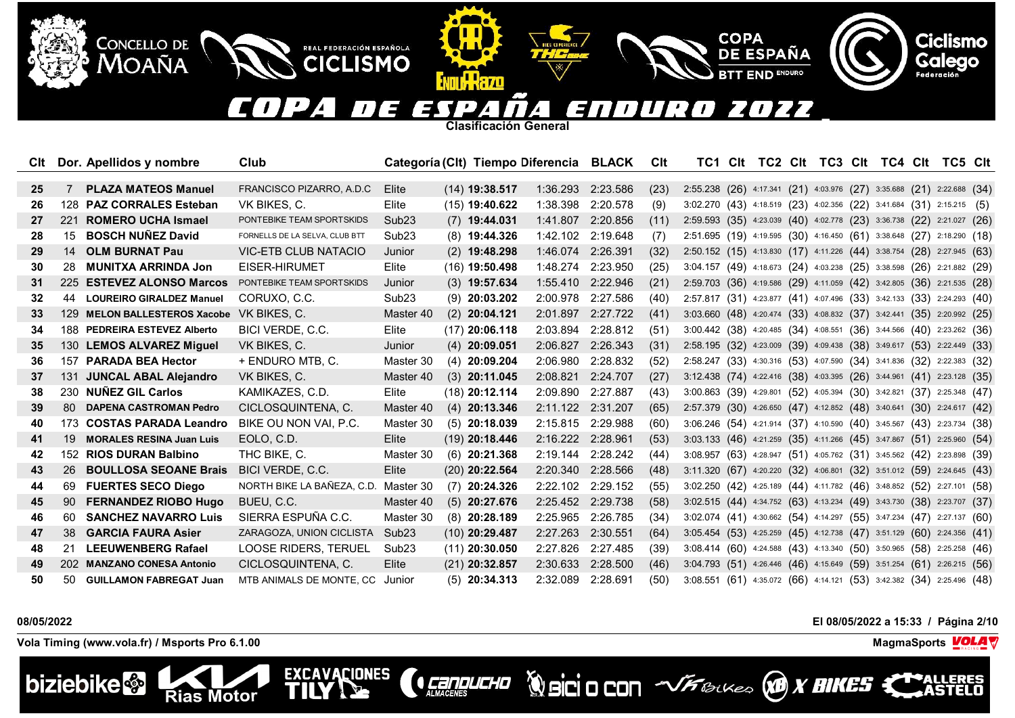## $\overline{\phantom{a}}$ n 22  $\blacksquare$  $\mathbf{I}$ E 1

**COPA** 

**DE ESPAÑA** 

**END ENDURO** 

**Clasificación General**

**THRZD** 

REAL FEDERACIÓN ESPAÑOLA

**CICLISMO** 

**EXCAVACIONES** 

TII

| Clt             |      | Dor. Apellidos y nombre         | Club                           |                   | Categoría (Clt) Tiempo Diferencia BLACK |                   |                   | Clt  |                                                                                 |  | TC1 CIt TC2 CIt TC3 CIt TC4 CIt TC5 CIt |  |  |  |
|-----------------|------|---------------------------------|--------------------------------|-------------------|-----------------------------------------|-------------------|-------------------|------|---------------------------------------------------------------------------------|--|-----------------------------------------|--|--|--|
|                 |      |                                 |                                |                   |                                         |                   |                   |      |                                                                                 |  |                                         |  |  |  |
| 25              | 7    | <b>PLAZA MATEOS Manuel</b>      | FRANCISCO PIZARRO, A.D.C.      | Elite             | $(14)$ 19:38.517                        | 1:36.293 2:23.586 |                   | (23) | 2:55.238 (26) 4:17.341 (21) 4:03.976 (27) 3:35.688 (21) 2:22.688 (34)           |  |                                         |  |  |  |
| 26              |      | 128 PAZ CORRALES Esteban        | VK BIKES, C.                   | Elite             | $(15)$ 19:40.622                        | 1:38.398 2:20.578 |                   | (9)  | 3:02.270 (43) 4:18.519 (23) 4:02.356 (22) 3:41.684 (31) 2:15.215 (5)            |  |                                         |  |  |  |
| 27              | -221 | <b>ROMERO UCHA Ismael</b>       | PONTEBIKE TEAM SPORTSKIDS      | Sub <sub>23</sub> | $(7)$ 19:44.031                         | 1:41.807 2:20.856 |                   | (11) | 2:59.593 (35) 4:23.039 (40) 4:02.778 (23) 3:36.738 (22) 2:21.027 (26)           |  |                                         |  |  |  |
| 28              | 15   | <b>BOSCH NUÑEZ David</b>        | FORNELLS DE LA SELVA, CLUB BTT | Sub <sub>23</sub> | $(8)$ 19:44.326                         | 1:42.102          | 2:19.648          | (7)  | 2:51.695 (19) 4:19.595 (30) 4:16.450 (61) 3:38.648 (27) 2:18.290 (18)           |  |                                         |  |  |  |
| 29              | 14   | <b>OLM BURNAT Pau</b>           | VIC-ETB CLUB NATACIO           | Junior            | $(2)$ 19:48.298                         | 1:46.074 2:26.391 |                   | (32) | 2:50.152 (15) 4:13.830 (17) 4:11.226 (44) 3:38.754 (28) 2:27.945 (63)           |  |                                         |  |  |  |
| 30              |      | 28 MUNITXA ARRINDA Jon          | EISER-HIRUMET                  | Elite             | (16) 19:50.498                          | 1:48.274 2:23.950 |                   | (25) | 3:04.157 (49) 4:18.673 (24) 4:03.238 (25) 3:38.598 (26) 2:21.882 (29)           |  |                                         |  |  |  |
| 31              |      | 225 ESTEVEZ ALONSO Marcos       | PONTEBIKE TEAM SPORTSKIDS      | Junior            | $(3)$ 19:57.634                         |                   | 1:55.410 2:22.946 | (21) | 2:59.703 (36) 4:19.586 (29) 4:11.059 (42) 3:42.805 (36) 2:21.535 (28)           |  |                                         |  |  |  |
| 32 <sub>2</sub> | 44   | <b>LOUREIRO GIRALDEZ Manuel</b> | CORUXO, C.C.                   | Sub <sub>23</sub> | $(9)$ 20:03.202                         | 2:00.978 2:27.586 |                   | (40) | 2:57.817 (31) 4:23.877 (41) 4:07.496 (33) 3:42.133 (33) 2:24.293 (40)           |  |                                         |  |  |  |
| 33              |      | 129 MELON BALLESTEROS Xacobe    | VK BIKES, C.                   | Master 40         | $(2)$ 20:04.121                         | 2:01.897 2:27.722 |                   | (41) | 3:03.660 (48) 4:20.474 (33) 4:08.832 (37) 3:42.441 (35) 2:20.992 (25)           |  |                                         |  |  |  |
| 34              |      | 188 PEDREIRA ESTEVEZ Alberto    | BICI VERDE, C.C.               | Elite             | $(17)$ 20:06.118                        | 2:03.894 2:28.812 |                   | (51) | 3:00.442 (38) 4:20.485 (34) 4:08.551 (36) 3:44.566 (40) 2:23.262 (36)           |  |                                         |  |  |  |
| 35              |      | 130 LEMOS ALVAREZ Miquel        | VK BIKES, C.                   | Junior            | $(4)$ 20:09.051                         | 2:06.827 2:26.343 |                   | (31) | 2:58.195 (32) 4:23.009 (39) 4:09.438 (38) 3:49.617 (53) 2:22.449 (33)           |  |                                         |  |  |  |
| 36              | 157  | <b>PARADA BEA Hector</b>        | + ENDURO MTB, C.               | Master 30         | $(4)$ 20:09.204                         | 2:06.980          | 2:28.832          | (52) | 2:58.247 (33) 4:30.316 (53) 4:07.590 (34) 3:41.836 (32) 2:22.383 (32)           |  |                                         |  |  |  |
| 37              | 131  | <b>JUNCAL ABAL Alejandro</b>    | VK BIKES, C.                   | Master 40         | $(3)$ 20:11.045                         | 2:08.821 2:24.707 |                   | (27) | 3:12.438 (74) 4:22.416 (38) 4:03.395 (26) 3:44.961 (41) 2:23.128 (35)           |  |                                         |  |  |  |
| 38              |      | 230 NUNEZ GIL Carlos            | KAMIKAZES, C.D.                | Elite             | (18) 20:12.114                          | 2:09.890 2:27.887 |                   | (43) | 3:00.863 (39) 4:29.801 (52) 4:05.394 (30) 3:42.821 (37) 2:25.348 (47)           |  |                                         |  |  |  |
| 39              | 80.  | <b>DAPENA CASTROMAN Pedro</b>   | CICLOSQUINTENA, C.             | Master 40         | $(4)$ 20:13.346                         | 2:11.122 2:31.207 |                   | (65) | 2:57.379 (30) 4:26.650 (47) 4:12.852 (48) 3:40.641 (30) 2:24.617 (42)           |  |                                         |  |  |  |
| 40              |      | 173 COSTAS PARADA Leandro       | BIKE OU NON VAI, P.C.          | Master 30         | $(5)$ 20:18.039                         | 2:15.815 2:29.988 |                   | (60) | 3:06.246 (54) 4:21.914 (37) 4:10.590 (40) 3:45.567 (43) 2:23.734 (38)           |  |                                         |  |  |  |
| 41              | 19   | <b>MORALES RESINA Juan Luis</b> | EOLO, C.D.                     | Elite             | $(19)$ 20:18.446                        | 2:16.222 2:28.961 |                   | (53) | 3:03.133 (46) 4:21.259 (35) 4:11.266 (45) 3:47.867 (51) 2:25.960 (54)           |  |                                         |  |  |  |
| 42              |      | 152 RIOS DURAN Balbino          | THC BIKE, C.                   | Master 30         | $(6)$ 20:21.368                         |                   | 2:19.144 2:28.242 | (44) | 3:08.957 (63) 4:28.947 (51) 4:05.762 (31) 3:45.562 (42) 2:23.898 (39)           |  |                                         |  |  |  |
| 43              | 26   | <b>BOULLOSA SEOANE Brais</b>    | BICI VERDE, C.C.               | Elite             | $(20)$ 20:22.564                        | 2:20.340 2:28.566 |                   | (48) | 3:11.320 (67) 4:20.220 (32) 4:06.801 (32) 3:51.012 (59) 2:24.645 (43)           |  |                                         |  |  |  |
| 44              | 69   | <b>FUERTES SECO Diego</b>       | NORTH BIKE LA BAÑEZA, C.D.     | Master 30         | $(7)$ 20:24.326                         |                   | 2:22.102 2:29.152 | (55) | 3:02.250 (42) 4:25.189 (44) 4:11.782 (46) 3:48.852 (52) 2:27.101 (58)           |  |                                         |  |  |  |
| 45              | 90   | <b>FERNANDEZ RIOBO Hugo</b>     | BUEU, C.C.                     | Master 40         | $(5)$ 20:27.676                         | 2:25.452 2:29.738 |                   | (58) | 3:02.515 (44) 4:34.752 (63) 4:13.234 (49) 3:43.730 (38) 2:23.707 (37)           |  |                                         |  |  |  |
| 46              | 60   | <b>SANCHEZ NAVARRO Luis</b>     | SIERRA ESPUÑA C.C.             | Master 30         | $(8)$ 20:28.189                         | 2:25.965          | 2:26.785          | (34) | $3:02.074$ (41) $4:30.662$ (54) $4:14.297$ (55) $3:47.234$ (47) $2:27.137$ (60) |  |                                         |  |  |  |
| 47              | 38   | <b>GARCIA FAURA Asier</b>       | ZARAGOZA, UNION CICLISTA       | Sub <sub>23</sub> | (10) 20:29.487                          | 2:27.263          | 2:30.551          | (64) | 3:05.454 (53) 4:25.259 (45) 4:12.738 (47) 3:51.129 (60) 2:24.356 (41)           |  |                                         |  |  |  |
| 48              | 21   | <b>LEEUWENBERG Rafael</b>       | LOOSE RIDERS, TERUEL           | Sub <sub>23</sub> | $(11)$ 20:30.050                        | 2:27.826          | 2:27.485          | (39) | 3:08.414 (60) 4:24.588 (43) 4:13.340 (50) 3:50.965 (58) 2:25.258 (46)           |  |                                         |  |  |  |
| 49              |      | 202 MANZANO CONESA Antonio      | CICLOSQUINTENA, C.             | Elite             | $(21)$ 20:32.857                        | 2:30.633          | 2:28.500          | (46) | $3:04.793$ (51) 4:26.446 (46) 4:15.649 (59) 3:51.254 (61) 2:26.215 (56)         |  |                                         |  |  |  |
| 50              |      | 50 GUILLAMON FABREGAT Juan      | MTB ANIMALS DE MONTE. CC       | Junior            | $(5)$ 20:34.313                         | 2:32.089          | 2:28.691          | (50) | 3:08.551 (61) 4:35.072 (66) 4:14.121 (53) 3:42.382 (34) 2:25.496 (48)           |  |                                         |  |  |  |

**CEREDUCHO** 

**08/05/2022 El 08/05/2022 a 15:33 / Página 2/10**

**Vola Timing (www.vola.fr) / Msports Pro 6.1.00 MagmaSports VOLA** 

**Rias Motor** 

CONCELLO DE

Moaña





**WorkSittU** 

**Ciclismo**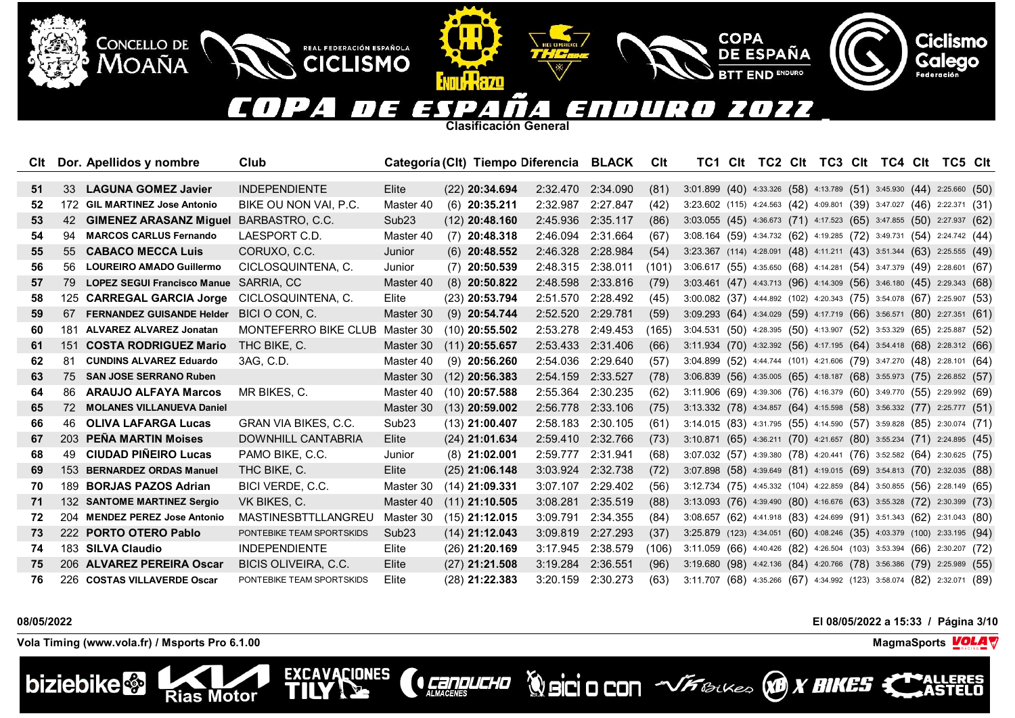### $\overline{\phantom{a}}$ n 22  $\blacksquare$  $\overline{ }$  $\mathbf{z}$ ' = 1

**Clasificación General**

IKKAZO

REAL FEDERACIÓN ESPAÑOLA

**CICLISMO** 

**EXCAVACIONES** 

TII

| Clt |     | Dor. Apellidos y nombre            | Club                        |                   | Categoría (Clt) Tiempo Diferencia BLACK |                   |                   | Clt   | TC1                                                                     | Clt |  |  |  | TC2 CIt TC3 CIt TC4 CIt TC5 CIt |  |
|-----|-----|------------------------------------|-----------------------------|-------------------|-----------------------------------------|-------------------|-------------------|-------|-------------------------------------------------------------------------|-----|--|--|--|---------------------------------|--|
|     |     |                                    |                             |                   |                                         |                   |                   |       |                                                                         |     |  |  |  |                                 |  |
| 51  | 33  | <b>LAGUNA GOMEZ Javier</b>         | <b>INDEPENDIENTE</b>        | Elite             | $(22)$ 20:34.694                        |                   | 2:32.470 2:34.090 | (81)  | 3:01.899 (40) 4:33.326 (58) 4:13.789 (51) 3:45.930 (44) 2:25.660 (50)   |     |  |  |  |                                 |  |
| 52  |     | 172 GIL MARTINEZ Jose Antonio      | BIKE OU NON VAI, P.C.       | Master 40         | $(6)$ 20:35.211                         | 2:32.987 2:27.847 |                   | (42)  | 3:23.602 (115) 4:24.563 (42) 4:09.801 (39) 3:47.027 (46) 2:22.371 (31)  |     |  |  |  |                                 |  |
| 53  | 42  | <b>GIMENEZ ARASANZ Miquel</b>      | BARBASTRO, C.C.             | Sub <sub>23</sub> | $(12)$ 20:48.160                        | 2:45.936 2:35.117 |                   | (86)  | 3:03.055 (45) 4:36.673 (71) 4:17.523 (65) 3:47.855 (50) 2:27.937 (62)   |     |  |  |  |                                 |  |
| 54  | 94  | <b>MARCOS CARLUS Fernando</b>      | LAESPORT C.D.               | Master 40         | $(7)$ 20:48.318                         | 2:46.094          | 2:31.664          | (67)  | 3:08.164 (59) 4:34.732 (62) 4:19.285 (72) 3:49.731 (54) 2:24.742 (44)   |     |  |  |  |                                 |  |
| 55  | 55  | <b>CABACO MECCA Luis</b>           | CORUXO, C.C.                | Junior            | $(6)$ 20:48.552                         | 2:46.328 2:28.984 |                   | (54)  | 3:23.367 (114) 4:28.091 (48) 4:11.211 (43) 3:51.344 (63) 2:25.555 (49)  |     |  |  |  |                                 |  |
| 56  | 56. | <b>LOUREIRO AMADO Guillermo</b>    | CICLOSQUINTENA, C.          | Junior            | $(7)$ 20:50.539                         | 2:48.315 2:38.011 |                   | (101) | 3:06.617 (55) 4:35.650 (68) 4:14.281 (54) 3:47.379 (49) 2:28.601 (67)   |     |  |  |  |                                 |  |
| 57  | 79  | <b>LOPEZ SEGUI Francisco Manue</b> | SARRIA, CC                  | Master 40         | $(8)$ 20:50.822                         | 2:48.598 2:33.816 |                   | (79)  | 3:03.461 (47) 4:43.713 (96) 4:14.309 (56) 3:46.180 (45) 2:29.343 (68)   |     |  |  |  |                                 |  |
| 58  | 125 | <b>CARREGAL GARCIA Jorge</b>       | CICLOSQUINTENA, C.          | Elite             | $(23)$ 20:53.794                        |                   | 2:51.570 2:28.492 | (45)  | 3:00.082 (37) 4:44.892 (102) 4:20.343 (75) 3:54.078 (67) 2:25.907 (53)  |     |  |  |  |                                 |  |
| 59  | 67  | <b>FERNANDEZ GUISANDE Helder</b>   | BICI O CON. C.              | Master 30         | $(9)$ 20:54.744                         | 2:52.520 2:29.781 |                   | (59)  | 3:09.293 (64) 4:34.029 (59) 4:17.719 (66) 3:56.571 (80) 2:27.351 (61)   |     |  |  |  |                                 |  |
| 60  | 181 | <b>ALVAREZ ALVAREZ Jonatan</b>     | MONTEFERRO BIKE CLUB        | Master 30         | $(10)$ 20:55.502                        | 2:53.278 2:49.453 |                   | (165) | 3:04.531 (50) 4:28.395 (50) 4:13.907 (52) 3:53.329 (65) 2:25.887 (52)   |     |  |  |  |                                 |  |
| 61  | 151 | <b>COSTA RODRIGUEZ Mario</b>       | THC BIKE, C.                | Master 30         | $(11)$ 20:55.657                        | 2:53.433 2:31.406 |                   | (66)  | 3:11.934 (70) 4:32.392 (56) 4:17.195 (64) 3:54.418 (68) 2:28.312 (66)   |     |  |  |  |                                 |  |
| 62  | 81  | <b>CUNDINS ALVAREZ Eduardo</b>     | 3AG, C.D.                   | Master 40         | $(9)$ 20:56.260                         | 2:54.036 2:29.640 |                   | (57)  | 3:04.899 (52) 4:44.744 (101) 4:21.606 (79) 3:47.270 (48) 2:28.101 (64)  |     |  |  |  |                                 |  |
| 63  | 75  | <b>SAN JOSE SERRANO Ruben</b>      |                             | Master 30         | $(12)$ 20:56.383                        | 2:54.159 2:33.527 |                   | (78)  | 3:06.839 (56) 4:35.005 (65) 4:18.187 (68) 3:55.973 (75) 2:26.852 (57)   |     |  |  |  |                                 |  |
| 64  | 86. | <b>ARAUJO ALFAYA Marcos</b>        | MR BIKES, C.                | Master 40         | $(10)$ 20:57.588                        | 2:55.364 2:30.235 |                   | (62)  | 3:11.906 (69) 4:39.306 (76) 4:16.379 (60) 3:49.770 (55) 2:29.992 (69)   |     |  |  |  |                                 |  |
| 65  | 72  | <b>MOLANES VILLANUEVA Daniel</b>   |                             | Master 30         | $(13)$ 20:59.002                        | 2:56.778 2:33.106 |                   | (75)  | 3:13.332 (78) 4:34.857 (64) 4:15.598 (58) 3:56.332 (77) 2:25.777 (51)   |     |  |  |  |                                 |  |
| 66  | 46  | <b>OLIVA LAFARGA Lucas</b>         | <b>GRAN VIA BIKES, C.C.</b> | Sub <sub>23</sub> | $(13)$ 21:00.407                        | 2:58.183 2:30.105 |                   | (61)  | 3:14.015 (83) 4:31.795 (55) 4:14.590 (57) 3:59.828 (85) 2:30.074 (71)   |     |  |  |  |                                 |  |
| 67  |     | 203 PENA MARTIN Moises             | DOWNHILL CANTABRIA          | Elite             | $(24)$ 21:01.634                        | 2:59.410 2:32.766 |                   | (73)  | 3:10.871 (65) 4:36.211 (70) 4:21.657 (80) 3:55.234 (71) 2:24.895 (45)   |     |  |  |  |                                 |  |
| 68  | 49  | <b>CIUDAD PIÑEIRO Lucas</b>        | PAMO BIKE, C.C.             | Junior            | $(8)$ 21:02.001                         | 2:59.777 2:31.941 |                   | (68)  | 3:07.032 (57) 4:39.380 (78) 4:20.441 (76) 3:52.582 (64) 2:30.625 (75)   |     |  |  |  |                                 |  |
| 69  | 153 | <b>BERNARDEZ ORDAS Manuel</b>      | THC BIKE, C.                | Elite             | $(25)$ 21:06.148                        | 3:03.924 2:32.738 |                   | (72)  | 3:07.898 (58) 4:39.649 (81) 4:19.015 (69) 3:54.813 (70) 2:32.035 (88)   |     |  |  |  |                                 |  |
| 70  | 189 | <b>BORJAS PAZOS Adrian</b>         | BICI VERDE, C.C.            | Master 30         | $(14)$ 21:09.331                        |                   | 3:07.107 2:29.402 | (56)  | 3:12.734 (75) 4:45.332 (104) 4:22.859 (84) 3:50.855 (56) 2:28.149 (65)  |     |  |  |  |                                 |  |
| 71  |     | 132 SANTOME MARTINEZ Sergio        | VK BIKES, C.                | Master 40         | $(11)$ 21:10.505                        | 3:08.281 2:35.519 |                   | (88)  | 3:13.093 (76) 4:39.490 (80) 4:16.676 (63) 3:55.328 (72) 2:30.399 (73)   |     |  |  |  |                                 |  |
| 72  |     | 204 MENDEZ PEREZ Jose Antonio      | MASTINESBTTLLANGREU         | Master 30         | $(15)$ 21:12.015                        | 3:09.791          | 2:34.355          | (84)  | 3:08.657 (62) 4:41.918 (83) 4:24.699 (91) 3:51.343 (62) 2:31.043 (80)   |     |  |  |  |                                 |  |
| 73  |     | 222 PORTO OTERO Pablo              | PONTEBIKE TEAM SPORTSKIDS   | Sub <sub>23</sub> | $(14)$ 21:12.043                        | 3:09.819          | 2:27.293          | (37)  | 3:25.879 (123) 4:34.051 (60) 4:08.246 (35) 4:03.379 (100) 2:33.195 (94) |     |  |  |  |                                 |  |
| 74  |     | 183 SILVA Claudio                  | <b>INDEPENDIENTE</b>        | Elite             | $(26)$ 21:20.169                        | 3:17.945 2:38.579 |                   | (106) | 3:11.059 (66) 4:40.426 (82) 4:26.504 (103) 3:53.394 (66) 2:30.207 (72)  |     |  |  |  |                                 |  |
| 75  |     | 206 ALVAREZ PEREIRA Oscar          | BICIS OLIVEIRA, C.C.        | Elite             | $(27)$ 21:21.508                        | 3:19.284 2:36.551 |                   | (96)  | 3:19.680 (98) 4:42.136 (84) 4:20.766 (78) 3:56.386 (79) 2:25.989 (55)   |     |  |  |  |                                 |  |
| 76  |     | 226 COSTAS VILLAVERDE Oscar        | PONTEBIKE TEAM SPORTSKIDS   | Elite             | (28) 21:22.383                          | 3:20.159          | 2:30.273          | (63)  | 3:11.707 (68) 4:35.266 (67) 4:34.992 (123) 3:58.074 (82) 2:32.071 (89)  |     |  |  |  |                                 |  |

**CEREDUCHO** 

**Vola Timing (www.vola.fr) / Msports Pro 6.1.00 MagmaSports VOLA** 

**Rias Motor** 

CONCELLO DE

Moaña



**08/05/2022 El 08/05/2022 a 15:33 / Página 3/10**

**Volation VFBLUES CONTRES CO** 

**COPA** 

**DE ESPAÑA** 

**END ENDURO** 



**Ciclismo**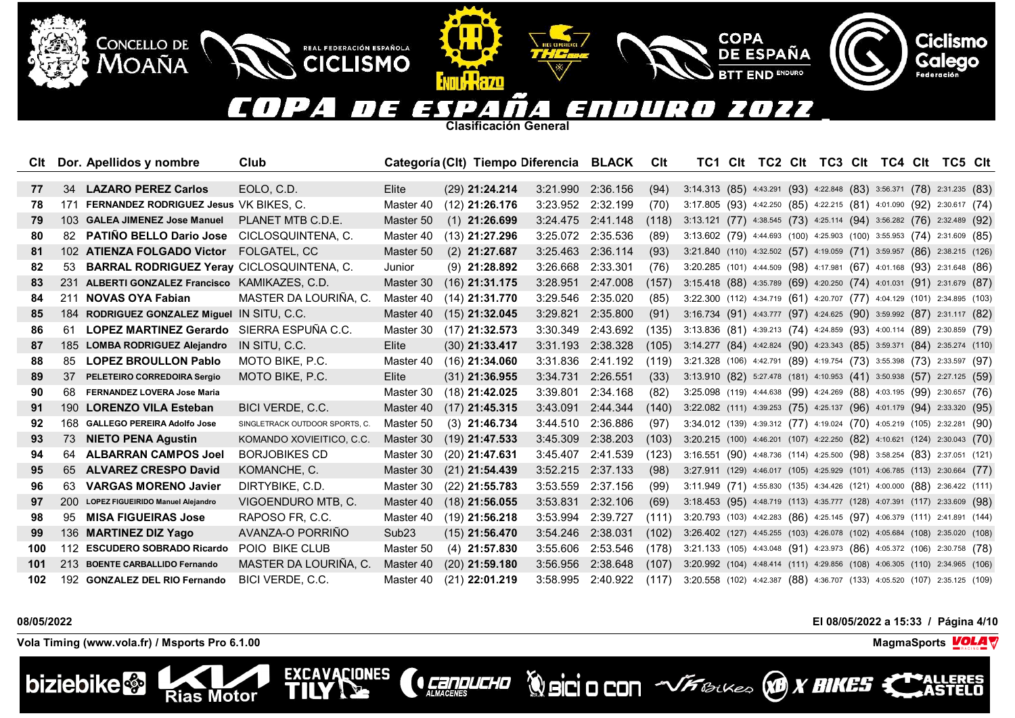#### $(112$ OZZ E  $\mathbf{A}$  $\mathbf{z}$  $\overline{\phantom{a}}$ 31  $\overline{L}$ T I  $\overline{a}$  $\overline{\phantom{a}}$

**COPA** 

**DE ESPAÑA** 

**END ENDURO** 

**Clasificación General**

**ATTILLERZO** 

REAL FEDERACIÓN ESPAÑOLA

**CICLISMO** 

**EXCAVACIONES** 

TIL

| Clt |     | Dor. Apellidos y nombre                          | Club                           |                   | Categoría (Clt) Tiempo Diferencia BLACK |                   |          | Clt   | TC1 Clt                                                                    |  | TC2 CIt TC3 CIt TC4 CIt TC5 CIt |  |  |  |
|-----|-----|--------------------------------------------------|--------------------------------|-------------------|-----------------------------------------|-------------------|----------|-------|----------------------------------------------------------------------------|--|---------------------------------|--|--|--|
|     |     |                                                  |                                |                   |                                         |                   |          |       |                                                                            |  |                                 |  |  |  |
| 77  | 34  | <b>LAZARO PEREZ Carlos</b>                       | EOLO. C.D.                     | Elite             | $(29)$ 21:24.214                        | 3:21.990 2:36.156 |          | (94)  | 3:14.313 (85) 4:43.291 (93) 4:22.848 (83) 3:56.371 (78) 2:31.235 (83)      |  |                                 |  |  |  |
| 78  |     | 171 FERNANDEZ RODRIGUEZ Jesus VK BIKES, C.       |                                | Master 40         | $(12)$ 21:26.176                        | 3:23.952 2:32.199 |          | (70)  | 3:17.805 (93) 4:42.250 (85) 4:22.215 (81) 4:01.090 (92) 2:30.617 (74)      |  |                                 |  |  |  |
| 79  |     | 103 GALEA JIMENEZ Jose Manuel                    | PLANET MTB C.D.E.              | Master 50         | $(1)$ 21:26.699                         | 3:24.475 2:41.148 |          | (118) | 3:13.121 (77) 4:38.545 (73) 4:25.114 (94) 3:56.282 (76) 2:32.489 (92)      |  |                                 |  |  |  |
| 80  | 82. | PATIÑO BELLO Dario Jose CICLOSQUINTENA, C.       |                                | Master 40         | $(13)$ 21:27.296                        | 3:25.072          | 2:35.536 | (89)  | 3:13.602 (79) 4:44.693 (100) 4:25.903 (100) 3:55.953 (74) 2:31.609 (85)    |  |                                 |  |  |  |
| 81  |     | 102 ATIENZA FOLGADO Victor FOLGATEL, CC          |                                | Master 50         | $(2)$ 21:27.687                         | 3:25.463 2:36.114 |          | (93)  | 3:21.840 (110) 4:32.502 (57) 4:19.059 (71) 3:59.957 (86) 2:38.215 (126)    |  |                                 |  |  |  |
| 82  |     | 53 BARRAL RODRIGUEZ Yeray CICLOSQUINTENA, C.     |                                | Junior            | $(9)$ 21:28.892                         | 3:26.668 2:33.301 |          | (76)  | 3:20.285 (101) 4:44.509 (98) 4:17.981 (67) 4:01.168 (93) 2:31.648 (86)     |  |                                 |  |  |  |
| 83  | 231 | ALBERTI GONZALEZ Francisco KAMIKAZES, C.D.       |                                | Master 30         | $(16)$ 21:31.175                        | 3:28.951          | 2:47.008 | (157) | 3:15.418 (88) 4:35.789 (69) 4:20.250 (74) 4:01.031 (91) 2:31.679 (87)      |  |                                 |  |  |  |
| 84  |     | 211 NOVAS OYA Fabian                             | MASTER DA LOURIÑA, C.          | Master 40         | $(14)$ 21:31.770                        | 3:29.546          | 2:35.020 | (85)  | 3:22.300 (112) 4:34.719 (61) 4:20.707 (77) 4:04.129 (101) 2:34.895 (103)   |  |                                 |  |  |  |
| 85  |     | 184 RODRIGUEZ GONZALEZ Miguel IN SITU, C.C.      |                                | Master 40         | $(15)$ 21:32.045                        | 3:29.821 2:35.800 |          | (91)  | 3:16.734 (91) 4:43.777 (97) 4:24.625 (90) 3:59.992 (87) 2:31.117 (82)      |  |                                 |  |  |  |
| 86  | 61  | <b>LOPEZ MARTINEZ Gerardo</b> SIERRA ESPUÑA C.C. |                                | Master 30         | $(17)$ 21:32.573                        | 3:30.349          | 2:43.692 | (135) | 3:13.836 (81) 4:39.213 (74) 4:24.859 (93) 4:00.114 (89) 2:30.859 (79)      |  |                                 |  |  |  |
| 87  |     | 185 LOMBA RODRIGUEZ Alejandro                    | IN SITU, C.C.                  | Elite             | $(30)$ 21:33.417                        | 3:31.193 2:38.328 |          | (105) | 3:14.277 (84) 4:42.824 (90) 4:23.343 (85) 3:59.371 (84) 2:35.274 (110)     |  |                                 |  |  |  |
| 88  | 85  | <b>LOPEZ BROULLON Pablo</b>                      | MOTO BIKE, P.C.                | Master 40         | $(16)$ 21:34.060                        | 3:31.836 2:41.192 |          | (119) | 3:21.328 (106) 4:42.791 (89) 4:19.754 (73) 3:55.398 (73) 2:33.597 (97)     |  |                                 |  |  |  |
| 89  |     | 37 PELETEIRO CORREDOIRA Sergio                   | MOTO BIKE, P.C.                | Elite             | $(31)$ 21:36.955                        | 3:34.731 2:26.551 |          | (33)  | 3:13.910 (82) 5:27.478 (181) 4:10.953 (41) 3:50.938 (57) 2:27.125 (59)     |  |                                 |  |  |  |
| 90  |     | 68 FERNANDEZ LOVERA Jose Maria                   |                                | Master 30         | $(18)$ 21:42.025                        | 3:39.801          | 2:34.168 | (82)  | 3:25.098 (119) 4:44.638 (99) 4:24.269 (88) 4:03.195 (99) 2:30.657 (76)     |  |                                 |  |  |  |
| 91  | 190 | <b>LORENZO VILA Esteban</b>                      | BICI VERDE, C.C.               | Master 40         | $(17)$ 21:45.315                        | 3:43.091          | 2:44.344 | (140) | 3:22.082 (111) 4:39.253 (75) 4:25.137 (96) 4:01.179 (94) 2:33.320 (95)     |  |                                 |  |  |  |
| 92  |     | 168 GALLEGO PEREIRA Adolfo Jose                  | SINGLETRACK OUTDOOR SPORTS, C. | Master 50         | $(3)$ 21:46.734                         | 3:44.510 2:36.886 |          | (97)  | 3:34.012 (139) 4:39.312 (77) 4:19.024 (70) 4:05.219 (105) 2:32.281 (90)    |  |                                 |  |  |  |
| 93  |     | 73 NIETO PENA Agustin                            | KOMANDO XOVIEITICO, C.C.       | Master 30         | $(19)$ 21:47.533                        | 3:45.309 2:38.203 |          | (103) | 3:20.215 (100) 4:46.201 (107) 4:22.250 (82) 4:10.621 (124) 2:30.043 (70)   |  |                                 |  |  |  |
| 94  | 64  | <b>ALBARRAN CAMPOS Joel</b>                      | <b>BORJOBIKES CD</b>           | Master 30         | $(20)$ 21:47.631                        | 3:45.407 2:41.539 |          | (123) | 3:16.551 (90) 4:48.736 (114) 4:25.500 (98) 3:58.254 (83) 2:37.051 (121)    |  |                                 |  |  |  |
| 95  | 65  | <b>ALVAREZ CRESPO David</b>                      | KOMANCHE, C.                   | Master 30         | $(21)$ 21:54.439                        | 3:52.215 2:37.133 |          | (98)  | 3:27.911 (129) 4:46.017 (105) 4:25.929 (101) 4:06.785 (113) 2:30.664 (77)  |  |                                 |  |  |  |
| 96  | 63  | <b>VARGAS MORENO Javier</b>                      | DIRTYBIKE, C.D.                | Master 30         | $(22)$ 21:55.783                        | 3:53.559          | 2:37.156 | (99)  | 3:11.949 (71) 4:55.830 (135) 4:34.426 (121) 4:00.000 (88) 2:36.422 (111)   |  |                                 |  |  |  |
| 97  |     | 200 LOPEZ FIGUEIRIDO Manuel Alejandro            | VIGOENDURO MTB, C.             | Master 40         | $(18)$ 21:56.055                        | 3:53.831 2:32.106 |          | (69)  | 3:18.453 (95) 4:48.719 (113) 4:35.777 (128) 4:07.391 (117) 2:33.609 (98)   |  |                                 |  |  |  |
| 98  | 95  | <b>MISA FIGUEIRAS Jose</b>                       | RAPOSO FR, C.C.                | Master 40         | $(19)$ 21:56.218                        | 3:53.994          | 2:39.727 | (111) | 3:20.793 (103) 4:42.283 (86) 4:25.145 (97) 4:06.379 (111) 2:41.891 (144)   |  |                                 |  |  |  |
| 99  |     | 136 MARTINEZ DIZ Yago                            | AVANZA-O PORRINO               | Sub <sub>23</sub> | $(15)$ 21:56.470                        | 3:54.246          | 2:38.031 | (102) | 3:26.402 (127) 4:45.255 (103) 4:26.078 (102) 4:05.684 (108) 2:35.020 (108) |  |                                 |  |  |  |
| 100 |     | 112 ESCUDERO SOBRADO Ricardo                     | POIO BIKE CLUB                 | Master 50         | $(4)$ 21:57.830                         | 3:55.606          | 2:53.546 | (178) | 3:21.133 (105) 4:43.048 (91) 4:23.973 (86) 4:05.372 (106) 2:30.758 (78)    |  |                                 |  |  |  |
| 101 |     | 213 BOENTE CARBALLIDO Fernando                   | MASTER DA LOURIÑA, C.          | Master 40         | $(20)$ 21:59.180                        | 3:56.956          | 2:38.648 | (107) | 3:20.992 (104) 4:48.414 (111) 4:29.856 (108) 4:06.305 (110) 2:34.965 (106) |  |                                 |  |  |  |
| 102 |     | 192 GONZALEZ DEL RIO Fernando                    | BICI VERDE, C.C.               | Master 40         | $(21)$ 22:01.219                        | 3:58.995          | 2:40.922 | (117) | 3:20.558 (102) 4:42.387 (88) 4:36.707 (133) 4:05.520 (107) 2:35.125 (109)  |  |                                 |  |  |  |

**CERPLICHO** 

# **08/05/2022 El 08/05/2022 a 15:33 / Página 4/10**

**Vola Timing (www.vola.fr) / Msports Pro 6.1.00 MagmaSports VOLA** 

**Rias Motor** 

CONCELLO DE

**MOAÑA** 



**Ciclismo** 

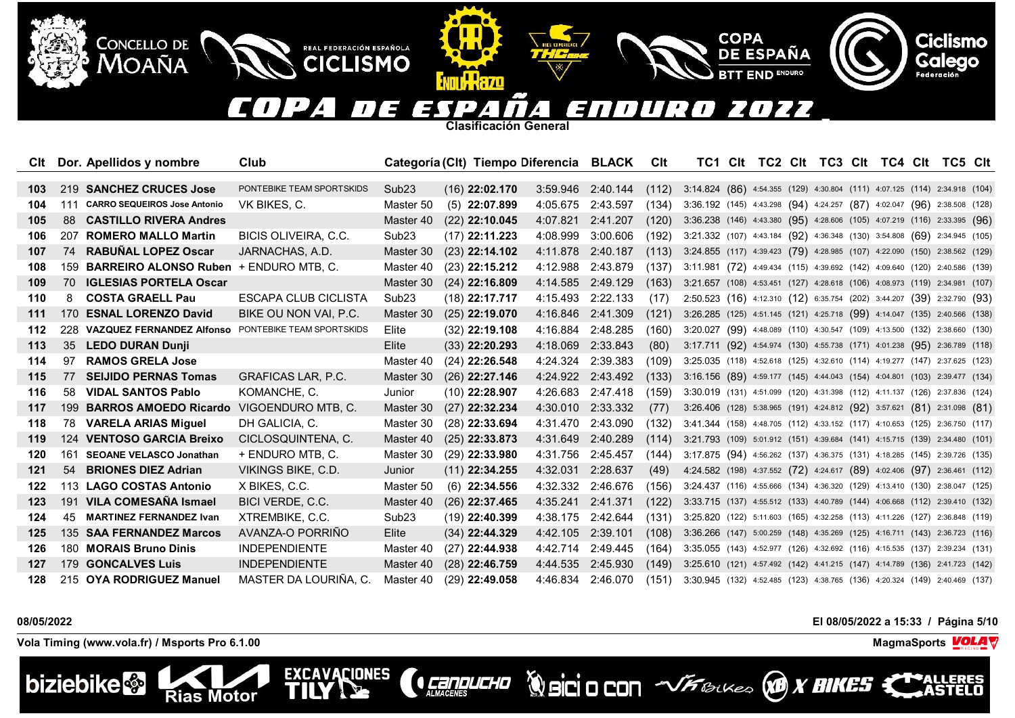#### $\blacksquare$ <u>| J</u> OZZ E  $\mathbf{A}$  $\mathbf{z}$  $\overline{\phantom{a}}$ 31  $\mathcal{L}$  $^{\prime}$  /  $\overline{ }$

**COPA** 

**DE ESPAÑA** 

**END ENDURO** 

**Clasificación General**

**ATTILLERZO** 

REAL FEDERACIÓN ESPAÑOLA

**CICLISMO** 

**EXCAVACIONES** 

ТN

| Clt   |     | Dor. Apellidos y nombre                    | Club                        |                   | Categoría (Clt) Tiempo Diferencia BLACK |                   |                   | Clt   |                                                                            |  |  | TC1 CIt TC2 CIt TC3 CIt TC4 CIt TC5 CIt |  |  |
|-------|-----|--------------------------------------------|-----------------------------|-------------------|-----------------------------------------|-------------------|-------------------|-------|----------------------------------------------------------------------------|--|--|-----------------------------------------|--|--|
|       |     |                                            |                             |                   |                                         |                   |                   |       |                                                                            |  |  |                                         |  |  |
| 103   |     | 219 SANCHEZ CRUCES Jose                    | PONTEBIKE TEAM SPORTSKIDS   | Sub <sub>23</sub> | $(16)$ 22:02.170                        |                   | 3:59.946 2:40.144 | (112) | 3:14.824 (86) 4:54.355 (129) 4:30.804 (111) 4:07.125 (114) 2:34.918 (104)  |  |  |                                         |  |  |
| 104   | 111 | <b>CARRO SEQUEIROS Jose Antonio</b>        | VK BIKES, C.                | Master 50         | $(5)$ 22:07.899                         | 4:05.675          | 2:43.597          | (134) | $3:36.192$ (145) 4:43.298 (94) 4:24.257 (87) 4:02.047 (96) 2:38.508 (128)  |  |  |                                         |  |  |
| 105   | -88 | <b>CASTILLO RIVERA Andres</b>              |                             | Master 40         | $(22)$ 22:10.045                        | 4:07.821          | 2:41.207          | (120) | 3:36.238 (146) 4:43.380 (95) 4:28.606 (105) 4:07.219 (116) 2:33.395 (96)   |  |  |                                         |  |  |
| 106   | 207 | <b>ROMERO MALLO Martin</b>                 | <b>BICIS OLIVEIRA, C.C.</b> | Sub <sub>23</sub> | $(17)$ 22:11.223                        | 4:08.999          | 3:00.606          | (192) | 3:21.332 (107) 4:43.184 (92) 4:36.348 (130) 3:54.808 (69) 2:34.945 (105)   |  |  |                                         |  |  |
| 107   |     | 74 RABUÑAL LOPEZ Oscar                     | JARNACHAS, A.D.             | Master 30         | $(23)$ 22:14.102                        | 4:11.878          | 2:40.187          | (113) | 3:24.855 (117) 4:39.423 (79) 4:28.985 (107) 4:22.090 (150) 2:38.562 (129)  |  |  |                                         |  |  |
| 108   |     | 159 BARREIRO ALONSO Ruben + ENDURO MTB, C. |                             | Master 40         | $(23)$ 22:15.212                        | 4:12.988          | 2:43.879          | (137) | 3:11.981 (72) 4:49.434 (115) 4:39.692 (142) 4:09.640 (120) 2:40.586 (139)  |  |  |                                         |  |  |
| 109   | 70  | <b>IGLESIAS PORTELA Oscar</b>              |                             | Master 30         | $(24)$ 22:16.809                        | 4:14.585          | 2:49.129          | (163) | 3:21.657 (108) 4:53.451 (127) 4:28.618 (106) 4:08.973 (119) 2:34.981 (107) |  |  |                                         |  |  |
| 110   | 8   | <b>COSTA GRAELL Pau</b>                    | <b>ESCAPA CLUB CICLISTA</b> | Sub <sub>23</sub> | $(18)$ 22:17.717                        | 4:15.493 2:22.133 |                   | (17)  | 2:50.523 (16) 4:12.310 (12) 6:35.754 (202) 3:44.207 (39) 2:32.790 (93)     |  |  |                                         |  |  |
| 111   | 170 | <b>ESNAL LORENZO David</b>                 | BIKE OU NON VAI, P.C.       | Master 30         | $(25)$ 22:19.070                        | 4:16.846          | 2:41.309          | (121) | 3:26.285 (125) 4:51.145 (121) 4:25.718 (99) 4:14.047 (135) 2:40.566 (138)  |  |  |                                         |  |  |
| 112   |     | 228 VAZQUEZ FERNANDEZ Alfonso              | PONTEBIKE TEAM SPORTSKIDS   | Elite             | $(32)$ 22:19.108                        | 4:16.884 2:48.285 |                   | (160) | 3:20.027 (99) 4:48.089 (110) 4:30.547 (109) 4:13.500 (132) 2:38.660 (130)  |  |  |                                         |  |  |
| 113   | 35  | <b>LEDO DURAN Dunji</b>                    |                             | Elite             | $(33)$ 22:20.293                        | 4:18.069          | 2:33.843          | (80)  | 3:17.711 (92) 4:54.974 (130) 4:55.738 (171) 4:01.238 (95) 2:36.789 (118)   |  |  |                                         |  |  |
| 114   | 97  | <b>RAMOS GRELA Jose</b>                    |                             | Master 40         | $(24)$ 22:26.548                        | 4:24.324 2:39.383 |                   | (109) | 3:25.035 (118) 4:52.618 (125) 4:32.610 (114) 4:19.277 (147) 2:37.625 (123) |  |  |                                         |  |  |
| 115   | 77  | <b>SEIJIDO PERNAS Tomas</b>                | <b>GRAFICAS LAR, P.C.</b>   | Master 30         | $(26)$ 22:27.146                        | 4:24.922 2:43.492 |                   | (133) | 3:16.156 (89) 4:59.177 (145) 4:44.043 (154) 4:04.801 (103) 2:39.477 (134)  |  |  |                                         |  |  |
| 116   | 58  | <b>VIDAL SANTOS Pablo</b>                  | KOMANCHE, C.                | Junior            | $(10)$ 22:28.907                        | 4:26.683          | 2:47.418          | (159) | 3:30.019 (131) 4:51.099 (120) 4:31.398 (112) 4:11.137 (126) 2:37.836 (124) |  |  |                                         |  |  |
| 117   | 199 | <b>BARROS AMOEDO Ricardo</b>               | VIGOENDURO MTB, C.          | Master 30         | $(27)$ 22:32.234                        | 4:30.010          | 2:33.332          | (77)  | 3:26.406 (128) 5:38.965 (191) 4:24.812 (92) 3:57.621 (81) 2:31.098 (81)    |  |  |                                         |  |  |
| 118   |     | 78 VARELA ARIAS Miquel                     | DH GALICIA, C.              | Master 30         | $(28)$ 22:33.694                        | 4:31.470 2:43.090 |                   | (132) | 3:41.344 (158) 4:48.705 (112) 4:33.152 (117) 4:10.653 (125) 2:36.750 (117) |  |  |                                         |  |  |
| 119   | 124 | <b>VENTOSO GARCIA Breixo</b>               | CICLOSQUINTENA, C.          | Master 40         | $(25)$ 22:33.873                        | 4:31.649          | 2:40.289          | (114) | 3:21.793 (109) 5:01.912 (151) 4:39.684 (141) 4:15.715 (139) 2:34.480 (101) |  |  |                                         |  |  |
| 120   | 161 | <b>SEOANE VELASCO Jonathan</b>             | + ENDURO MTB, C.            | Master 30         | $(29)$ 22:33.980                        | 4:31.756          | 2:45.457          | (144) | 3:17.875 (94) 4:56.262 (137) 4:36.375 (131) 4:18.285 (145) 2:39.726 (135)  |  |  |                                         |  |  |
| $121$ | 54  | <b>BRIONES DIEZ Adrian</b>                 | VIKINGS BIKE, C.D.          | Junior            | $(11)$ 22:34.255                        | 4:32.031 2:28.637 |                   | (49)  | 4:24.582 (198) 4:37.552 (72) 4:24.617 (89) 4:02.406 (97) 2:36.461 (112)    |  |  |                                         |  |  |
| 122   |     | 113 LAGO COSTAS Antonio                    | X BIKES, C.C.               | Master 50         | $(6)$ 22:34.556                         | 4:32.332 2:46.676 |                   | (156) | 3:24.437 (116) 4:55.666 (134) 4:36.320 (129) 4:13.410 (130) 2:38.047 (125) |  |  |                                         |  |  |
| 123   | 191 | <b>VILA COMESAÑA Ismael</b>                | BICI VERDE, C.C.            | Master 40         | $(26)$ 22:37.465                        | 4:35.241 2:41.371 |                   | (122) | 3:33.715 (137) 4:55.512 (133) 4:40.789 (144) 4:06.668 (112) 2:39.410 (132) |  |  |                                         |  |  |
| 124   | 45  | <b>MARTINEZ FERNANDEZ Ivan</b>             | XTREMBIKE, C.C.             | Sub <sub>23</sub> | $(19)$ 22:40.399                        | 4:38.175          | 2:42.644          | (131) | 3:25.820 (122) 5:11.603 (165) 4:32.258 (113) 4:11.226 (127) 2:36.848 (119) |  |  |                                         |  |  |
| 125   |     | 135 SAA FERNANDEZ Marcos                   | AVANZA-O PORRIÑO            | Elite             | $(34)$ 22:44.329                        | 4:42.105          | 2:39.101          | (108) | 3:36.266 (147) 5:00.259 (148) 4:35.269 (125) 4:16.711 (143) 2:36.723 (116) |  |  |                                         |  |  |
| 126   |     | 180 <b>MORAIS Bruno Dinis</b>              | <b>INDEPENDIENTE</b>        | Master 40         | $(27)$ 22:44.938                        | 4:42.714 2:49.445 |                   | (164) | 3:35.055 (143) 4:52.977 (126) 4:32.692 (116) 4:15.535 (137) 2:39.234 (131) |  |  |                                         |  |  |
| 127   |     | 179 GONCALVES Luis                         | <b>INDEPENDIENTE</b>        | Master 40         | $(28)$ 22:46.759                        | 4:44.535 2:45.930 |                   | (149) | 3:25.610 (121) 4:57.492 (142) 4:41.215 (147) 4:14.789 (136) 2:41.723 (142) |  |  |                                         |  |  |
| 128   |     | 215 OYA RODRIGUEZ Manuel                   | MASTER DA LOURIÑA, C.       | Master 40         | $(29)$ 22:49.058                        | 4:46.834          | 2:46.070          | (151) | 3:30.945 (132) 4:52.485 (123) 4:38.765 (136) 4:20.324 (149) 2:40.469 (137) |  |  |                                         |  |  |

**CERPLICHO** 

**Vola Timing (www.vola.fr) / Msports Pro 6.1.00 MagmaSports VOLA** 

**Rias Motor** 

CONCELLO DE

MOAÑA



**08/05/2022 El 08/05/2022 a 15:33 / Página 5/10**

**ERES** 

**Ciclismo** 

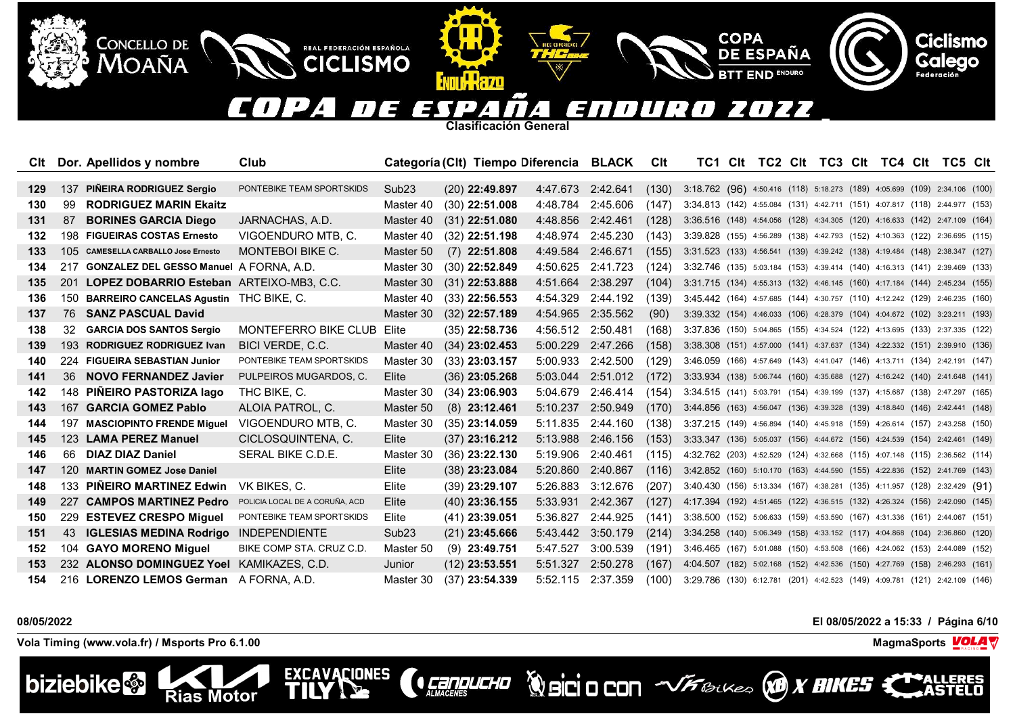#### $(112$  $\overline{\phantom{a}}$ OZZ E  $\mathbf{A}$  $\mathbf{z}$ 31  $\mathcal{L}$ T I  $\overline{a}$  $\overline{\phantom{a}}$

**Clasificación General**

**ATTILLERZO** 

REAL FEDERACIÓN ESPAÑOLA

**CICLISMO** 

EXCAVACIONES

| Clt |     | Dor. Apellidos y nombre                     | Club                           |                   | Categoría (Clt) Tiempo Diferencia BLACK |                   |                   | Clt   | TC1 Clt                                                                    |  | TC2 CIt TC3 CIt TC4 CIt TC5 CIt |  |  |  |
|-----|-----|---------------------------------------------|--------------------------------|-------------------|-----------------------------------------|-------------------|-------------------|-------|----------------------------------------------------------------------------|--|---------------------------------|--|--|--|
|     |     |                                             |                                |                   |                                         |                   |                   |       |                                                                            |  |                                 |  |  |  |
| 129 | 137 | PIÑEIRA RODRIGUEZ Sergio                    | PONTEBIKE TEAM SPORTSKIDS      | Sub <sub>23</sub> | $(20)$ 22:49.897                        | 4:47.673 2:42.641 |                   | (130) | 3:18.762 (96) 4:50.416 (118) 5:18.273 (189) 4:05.699 (109) 2:34.106 (100)  |  |                                 |  |  |  |
| 130 | -99 | <b>RODRIGUEZ MARIN Ekaitz</b>               |                                | Master 40         | $(30)$ 22:51.008                        | 4:48.784          | 2:45.606          | (147) | 3:34.813 (142) 4:55.084 (131) 4:42.711 (151) 4:07.817 (118) 2:44.977 (153) |  |                                 |  |  |  |
| 131 | -87 | <b>BORINES GARCIA Diego</b>                 | JARNACHAS, A.D.                | Master 40         | $(31)$ 22:51.080                        | 4:48.856          | 2:42.461          | (128) | 3:36.516 (148) 4:54.056 (128) 4:34.305 (120) 4:16.633 (142) 2:47.109 (164) |  |                                 |  |  |  |
| 132 | 198 | <b>FIGUEIRAS COSTAS Ernesto</b>             | VIGOENDURO MTB, C.             | Master 40         | $(32)$ 22:51.198                        | 4:48.974          | 2:45.230          | (143) | 3:39.828 (155) 4:56.289 (138) 4:42.793 (152) 4:10.363 (122) 2:36.695 (115) |  |                                 |  |  |  |
| 133 | 105 | <b>CAMESELLA CARBALLO Jose Ernesto</b>      | <b>MONTEBOI BIKE C.</b>        | Master 50         | $(7)$ 22:51.808                         | 4:49.584          | 2:46.671          | (155) | 3:31.523 (133) 4:56.541 (139) 4:39.242 (138) 4:19.484 (148) 2:38.347 (127) |  |                                 |  |  |  |
| 134 |     | 217 GONZALEZ DEL GESSO Manuel A FORNA, A.D. |                                | Master 30         | $(30)$ 22:52.849                        | 4:50.625          | 2:41.723          | (124) | 3:32.746 (135) 5:03.184 (153) 4:39.414 (140) 4:16.313 (141) 2:39.469 (133) |  |                                 |  |  |  |
| 135 | 201 | LOPEZ DOBARRIO Esteban ARTEIXO-MB3, C.C.    |                                | Master 30         | $(31)$ 22:53.888                        | 4:51.664          | 2:38.297          | (104) | 3:31.715 (134) 4:55.313 (132) 4:46.145 (160) 4:17.184 (144) 2:45.234 (155) |  |                                 |  |  |  |
| 136 | 150 | BARREIRO CANCELAS Agustin THC BIKE, C.      |                                | Master 40         | $(33)$ 22:56.553                        | 4:54.329          | 2:44.192          | (139) | 3:45.442 (164) 4:57.685 (144) 4:30.757 (110) 4:12.242 (129) 2:46.235 (160) |  |                                 |  |  |  |
| 137 | 76  | <b>SANZ PASCUAL David</b>                   |                                | Master 30         | $(32)$ 22:57.189                        | 4:54.965          | 2:35.562          | (90)  | 3:39.332 (154) 4:46.033 (106) 4:28.379 (104) 4:04.672 (102) 3:23.211 (193) |  |                                 |  |  |  |
| 138 | 32  | <b>GARCIA DOS SANTOS Sergio</b>             | <b>MONTEFERRO BIKE CLUB</b>    | Elite             | $(35)$ 22:58.736                        | 4:56.512          | 2:50.481          | (168) | 3:37.836 (150) 5:04.865 (155) 4:34.524 (122) 4:13.695 (133) 2:37.335 (122) |  |                                 |  |  |  |
| 139 | 193 | <b>RODRIGUEZ RODRIGUEZ Ivan</b>             | BICI VERDE, C.C.               | Master 40         | $(34)$ 23:02.453                        | 5:00.229          | 2:47.266          | (158) | 3:38.308 (151) 4:57.000 (141) 4:37.637 (134) 4:22.332 (151) 2:39.910 (136) |  |                                 |  |  |  |
| 140 |     | 224 FIGUEIRA SEBASTIAN Junior               | PONTEBIKE TEAM SPORTSKIDS      | Master 30         | $(33)$ 23:03.157                        | 5:00.933          | 2:42.500          | (129) | 3:46.059 (166) 4:57.649 (143) 4:41.047 (146) 4:13.711 (134) 2:42.191 (147) |  |                                 |  |  |  |
| 141 | 36  | <b>NOVO FERNANDEZ Javier</b>                | PULPEIROS MUGARDOS, C.         | Elite             | $(36)$ 23:05.268                        |                   | 5:03.044 2:51.012 | (172) | 3:33.934 (138) 5:06.744 (160) 4:35.688 (127) 4:16.242 (140) 2:41.648 (141) |  |                                 |  |  |  |
| 142 |     | 148 PIÑEIRO PASTORIZA lago                  | THC BIKE, C.                   | Master 30         | $(34)$ 23:06.903                        | 5:04.679          | 2:46.414          | (154) | 3:34.515 (141) 5:03.791 (154) 4:39.199 (137) 4:15.687 (138) 2:47.297 (165) |  |                                 |  |  |  |
| 143 | 167 | <b>GARCIA GOMEZ Pablo</b>                   | ALOIA PATROL, C.               | Master 50         | $(8)$ 23:12.461                         | 5:10.237          | 2:50.949          | (170) | 3:44.856 (163) 4:56.047 (136) 4:39.328 (139) 4:18.840 (146) 2:42.441 (148) |  |                                 |  |  |  |
| 144 |     | 197 MASCIOPINTO FRENDE Miguel               | VIGOENDURO MTB, C.             | Master 30         | $(35)$ 23:14.059                        | 5:11.835          | 2:44.160          | (138) | 3:37.215 (149) 4:56.894 (140) 4:45.918 (159) 4:26.614 (157) 2:43.258 (150) |  |                                 |  |  |  |
| 145 |     | 123 LAMA PEREZ Manuel                       | CICLOSQUINTENA, C.             | Elite             | $(37)$ 23:16.212                        | 5:13.988          | 2:46.156          | (153) | 3:33.347 (136) 5:05.037 (156) 4:44.672 (156) 4:24.539 (154) 2:42.461 (149) |  |                                 |  |  |  |
| 146 | 66  | <b>DIAZ DIAZ Daniel</b>                     | SERAL BIKE C.D.E.              | Master 30         | $(36)$ 23:22.130                        | 5:19.906          | 2:40.461          | (115) | 4:32.762 (203) 4:52.529 (124) 4:32.668 (115) 4:07.148 (115) 2:36.562 (114) |  |                                 |  |  |  |
| 147 | 120 | <b>MARTIN GOMEZ Jose Daniel</b>             |                                | Elite             | $(38)$ 23:23.084                        | 5:20.860          | 2:40.867          | (116) | 3:42.852 (160) 5:10.170 (163) 4:44.590 (155) 4:22.836 (152) 2:41.769 (143) |  |                                 |  |  |  |
| 148 | 133 | <b>PINEIRO MARTINEZ Edwin</b>               | VK BIKES, C.                   | Elite             | $(39)$ 23:29.107                        | 5:26.883          | 3:12.676          | (207) | 3:40.430 (156) 5:13.334 (167) 4:38.281 (135) 4:11.957 (128) 2:32.429 (91)  |  |                                 |  |  |  |
| 149 | 227 | <b>CAMPOS MARTINEZ Pedro</b>                | POLICIA LOCAL DE A CORUÑA, ACD | Elite             | $(40)$ 23:36.155                        | 5:33.931 2:42.367 |                   | (127) | 4:17.394 (192) 4:51.465 (122) 4:36.515 (132) 4:26.324 (156) 2:42.090 (145) |  |                                 |  |  |  |
| 150 | 229 | <b>ESTEVEZ CRESPO Miguel</b>                | PONTEBIKE TEAM SPORTSKIDS      | Elite             | $(41)$ 23:39.051                        | 5:36.827          | 2:44.925          | (141) | 3:38.500 (152) 5:06.633 (159) 4:53.590 (167) 4:31.336 (161) 2:44.067 (151) |  |                                 |  |  |  |
| 151 | 43  | <b>IGLESIAS MEDINA Rodrigo</b>              | <b>INDEPENDIENTE</b>           | Sub <sub>23</sub> | $(21)$ 23:45.666                        | 5:43.442          | 3:50.179          | (214) | 3:34.258 (140) 5:06.349 (158) 4:33.152 (117) 4:04.868 (104) 2:36.860 (120) |  |                                 |  |  |  |
| 152 |     | 104 GAYO MORENO Miguel                      | BIKE COMP STA. CRUZ C.D.       | Master 50         | $(9)$ 23:49.751                         | 5:47.527          | 3:00.539          | (191) | 3:46.465 (167) 5:01.088 (150) 4:53.508 (166) 4:24.062 (153) 2:44.089 (152) |  |                                 |  |  |  |
| 153 |     | 232 ALONSO DOMINGUEZ Yoel KAMIKAZES, C.D.   |                                | Junior            | $(12)$ 23:53.551                        | 5:51.327          | 2:50.278          | (167) | 4:04.507 (182) 5:02.168 (152) 4:42.536 (150) 4:27.769 (158) 2:46.293 (161) |  |                                 |  |  |  |
| 154 |     | 216 LORENZO LEMOS German A FORNA, A.D.      |                                | Master 30         | $(37)$ 23:54.339                        | 5:52.115          | 2:37.359          | (100) | 3:29.786 (130) 6:12.781 (201) 4:42.523 (149) 4:09.781 (121) 2:42.109 (146) |  |                                 |  |  |  |

**CERPLICHO** 

**08/05/2022 El 08/05/2022 a 15:33 / Página 6/10**

**Vola Timing (www.vola.fr) / Msports Pro 6.1.00 MagmaSports VOLA** 

**Rias Motor** 

CONCELLO DE

**MOAÑA** 



**ERES** 

**Ciclismo** 

Galego

**Volcio CON** VFBLKes **B** X BIKES

**COPA** 

**DE ESPAÑA** 

**END ENDURO**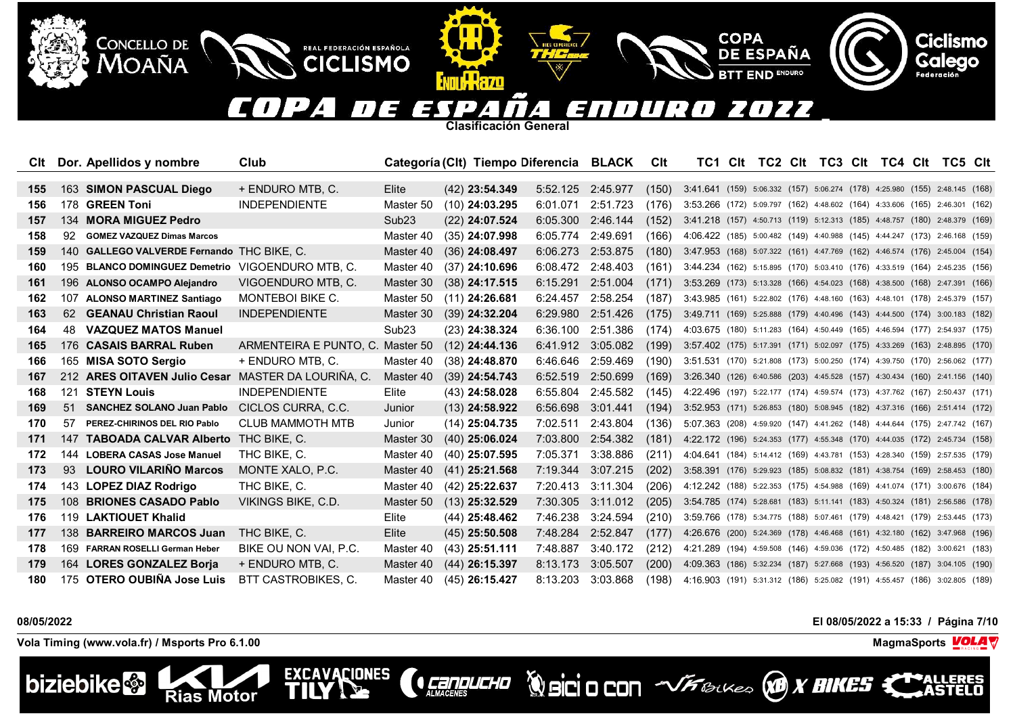#### <u>| J</u> OZZ  $\blacksquare$ F  $\mathbf{A}$  $\mathbf{z}$  $\overline{\phantom{a}}$ 31  $\overline{L}$  $^{\prime}$  /  $\overline{ }$

**Clasificación General**

II Wazo

REAL FEDERACIÓN ESPAÑOLA

**CICLISMO** 

**EXCAVACIONES** 

TII

|     |     | Cit Dor. Apellidos y nombre                      | Club                             |                   | Categoría (Clt) Tiempo Diferencia BLACK |                   |                   | Clt   | TC1 Clt                                                                    |  | TC2 CIt TC3 CIt TC4 CIt TC5 CIt |  |  |  |
|-----|-----|--------------------------------------------------|----------------------------------|-------------------|-----------------------------------------|-------------------|-------------------|-------|----------------------------------------------------------------------------|--|---------------------------------|--|--|--|
|     |     |                                                  |                                  |                   |                                         |                   |                   |       |                                                                            |  |                                 |  |  |  |
| 155 |     | 163 SIMON PASCUAL Diego                          | + ENDURO MTB, C.                 | Elite             | $(42)$ 23:54.349                        |                   | 5:52.125 2:45.977 | (150) | 3.41.641 (159) 5:06.332 (157) 5:06.274 (178) 4:25.980 (155) 2:48.145 (168) |  |                                 |  |  |  |
| 156 |     | 178 GREEN Toni                                   | <b>INDEPENDIENTE</b>             | Master 50         | $(10)$ 24:03.295                        | 6:01.071          | 2:51.723          | (176) | 3:53.266 (172) 5:09.797 (162) 4:48.602 (164) 4:33.606 (165) 2:46.301 (162) |  |                                 |  |  |  |
| 157 |     | 134 MORA MIGUEZ Pedro                            |                                  | Sub <sub>23</sub> | $(22)$ 24:07.524                        | 6:05.300          | 2:46.144          | (152) | 3:41.218 (157) 4:50.713 (119) 5:12.313 (185) 4:48.757 (180) 2:48.379 (169) |  |                                 |  |  |  |
| 158 | 92  | <b>GOMEZ VAZQUEZ Dimas Marcos</b>                |                                  | Master 40         | $(35)$ 24:07.998                        | 6:05.774          | 2:49.691          | (166) | 4:06.422 (185) 5:00.482 (149) 4:40.988 (145) 4:44.247 (173) 2:46.168 (159) |  |                                 |  |  |  |
| 159 |     | 140 GALLEGO VALVERDE Fernando THC BIKE, C.       |                                  | Master 40         | $(36)$ 24:08.497                        | 6:06.273          | 2:53.875          | (180) | 3:47.953 (168) 5:07.322 (161) 4:47.769 (162) 4:46.574 (176) 2:45.004 (154) |  |                                 |  |  |  |
| 160 |     | 195 BLANCO DOMINGUEZ Demetrio VIGOENDURO MTB. C. |                                  | Master 40         | $(37)$ 24:10.696                        | 6:08.472          | 2:48.403          | (161) | 3:44.234 (162) 5:15.895 (170) 5:03.410 (176) 4:33.519 (164) 2:45.235 (156) |  |                                 |  |  |  |
| 161 |     | 196 ALONSO OCAMPO Alejandro                      | VIGOENDURO MTB, C.               | Master 30         | $(38)$ 24:17.515                        | 6:15.291          | 2:51.004          | (171) | 3:53.269 (173) 5:13.328 (166) 4:54.023 (168) 4:38.500 (168) 2:47.391 (166) |  |                                 |  |  |  |
| 162 |     | 107 ALONSO MARTINEZ Santiago                     | <b>MONTEBOI BIKE C.</b>          | Master 50         | $(11)$ 24:26.681                        | 6:24.457          | 2:58.254          | (187) | 3:43.985 (161) 5:22.802 (176) 4:48.160 (163) 4:48.101 (178) 2:45.379 (157) |  |                                 |  |  |  |
| 163 |     | 62 GEANAU Christian Raoul                        | <b>INDEPENDIENTE</b>             | Master 30         | $(39)$ 24:32.204                        | 6:29.980          | 2:51.426          | (175) | 3:49.711 (169) 5:25.888 (179) 4:40.496 (143) 4:44.500 (174) 3:00.183 (182) |  |                                 |  |  |  |
| 164 |     | 48 VAZQUEZ MATOS Manuel                          |                                  | Sub <sub>23</sub> | $(23)$ 24:38.324                        | 6:36.100          | 2:51.386          | (174) | 4:03.675 (180) 5:11.283 (164) 4:50.449 (165) 4:46.594 (177) 2:54.937 (175) |  |                                 |  |  |  |
| 165 |     | 176 CASAIS BARRAL Ruben                          | ARMENTEIRA E PUNTO, C. Master 50 |                   | $(12)$ 24:44.136                        |                   | 6:41.912 3:05.082 | (199) | 3:57.402 (175) 5:17.391 (171) 5:02.097 (175) 4:33.269 (163) 2:48.895 (170) |  |                                 |  |  |  |
| 166 |     | 165 MISA SOTO Sergio                             | + ENDURO MTB, C.                 | Master 40         | $(38)$ 24:48.870                        | 6:46.646          | 2:59.469          | (190) | 3:51.531 (170) 5:21.808 (173) 5:00.250 (174) 4:39.750 (170) 2:56.062 (177) |  |                                 |  |  |  |
| 167 |     | 212 ARES OITAVEN Julio Cesar                     | MASTER DA LOURIÑA, C.            | Master 40         | $(39)$ 24:54.743                        | 6:52.519 2:50.699 |                   | (169) | 3:26.340 (126) 6:40.586 (203) 4:45.528 (157) 4:30.434 (160) 2:41.156 (140) |  |                                 |  |  |  |
| 168 | 121 | <b>STEYN Louis</b>                               | <b>INDEPENDIENTE</b>             | Elite             | $(43)$ 24:58.028                        | 6:55.804          | 2:45.582          | (145) | 4:22.496 (197) 5:22.177 (174) 4:59.574 (173) 4:37.762 (167) 2:50.437 (171) |  |                                 |  |  |  |
| 169 | 51  | <b>SANCHEZ SOLANO Juan Pablo</b>                 | CICLOS CURRA, C.C.               | Junior            | $(13)$ 24:58.922                        | 6:56.698          | 3:01.441          | (194) | 3:52.953 (171) 5:26.853 (180) 5:08.945 (182) 4:37.316 (166) 2:51.414 (172) |  |                                 |  |  |  |
| 170 | 57  | PEREZ-CHIRINOS DEL RIO Pablo                     | <b>CLUB MAMMOTH MTB</b>          | Junior            | $(14)$ 25:04.735                        | 7:02.511          | 2:43.804          | (136) | 5:07.363 (208) 4:59.920 (147) 4:41.262 (148) 4:44.644 (175) 2:47.742 (167) |  |                                 |  |  |  |
| 171 | 147 | TABOADA CALVAR Alberto                           | THC BIKE, C.                     | Master 30         | $(40)$ 25:06.024                        | 7:03.800          | 2:54.382          | (181) | 4:22.172 (196) 5:24.353 (177) 4:55.348 (170) 4:44.035 (172) 2:45.734 (158) |  |                                 |  |  |  |
| 172 | 144 | <b>LOBERA CASAS Jose Manuel</b>                  | THC BIKE, C.                     | Master 40         | $(40)$ 25:07.595                        | 7:05.371          | 3:38.886          | (211) | 4:04.641 (184) 5:14.412 (169) 4:43.781 (153) 4:28.340 (159) 2:57.535 (179) |  |                                 |  |  |  |
| 173 | 93  | <b>LOURO VILARINO Marcos</b>                     | MONTE XALO, P.C.                 | Master 40         | $(41)$ 25:21.568                        | 7:19.344          | 3:07.215          | (202) | 3:58.391 (176) 5:29.923 (185) 5:08.832 (181) 4:38.754 (169) 2:58.453 (180) |  |                                 |  |  |  |
| 174 |     | 143 LOPEZ DIAZ Rodrigo                           | THC BIKE, C.                     | Master 40         | $(42)$ 25:22.637                        | 7:20.413          | 3:11.304          | (206) | 4:12.242 (188) 5:22.353 (175) 4:54.988 (169) 4:41.074 (171) 3:00.676 (184) |  |                                 |  |  |  |
| 175 |     | 108 BRIONES CASADO Pablo                         | VIKINGS BIKE, C.D.               | Master 50         | $(13)$ 25:32.529                        | 7:30.305          | 3:11.012          | (205) | 3:54.785 (174) 5:28.681 (183) 5:11.141 (183) 4:50.324 (181) 2:56.586 (178) |  |                                 |  |  |  |
| 176 |     | 119 LAKTIOUET Khalid                             |                                  | Elite             | $(44)$ 25:48.462                        | 7:46.238          | 3:24.594          | (210) | 3:59.766 (178) 5:34.775 (188) 5:07.461 (179) 4:48.421 (179) 2:53.445 (173) |  |                                 |  |  |  |
| 177 | 138 | <b>BARREIRO MARCOS Juan</b>                      | THC BIKE, C.                     | Elite             | $(45)$ 25:50.508                        | 7:48.284          | 2:52.847          | (177) | 4:26.676 (200) 5:24.369 (178) 4:46.468 (161) 4:32.180 (162) 3:47.968 (196) |  |                                 |  |  |  |
| 178 |     | 169 FARRAN ROSELLI German Heber                  | BIKE OU NON VAI, P.C.            | Master 40         | $(43)$ 25:51.111                        | 7:48.887          | 3:40.172          | (212) | 4:21.289 (194) 4:59.508 (146) 4:59.036 (172) 4:50.485 (182) 3:00.621 (183) |  |                                 |  |  |  |
| 179 |     | 164 LORES GONZALEZ Borja                         | + ENDURO MTB, C.                 | Master 40         | $(44)$ 26:15.397                        | 8:13.173          | 3:05.507          | (200) | 4:09.363 (186) 5:32.234 (187) 5:27.668 (193) 4:56.520 (187) 3:04.105 (190) |  |                                 |  |  |  |
| 180 |     | 175 OTERO OUBIÑA Jose Luis                       | <b>BTT CASTROBIKES, C.</b>       | Master 40         | $(45)$ 26:15.427                        | 8:13.203          | 3:03.868          | (198) | 4:16.903 (191) 5:31.312 (186) 5:25.082 (191) 4:55.457 (186) 3:02.805 (189) |  |                                 |  |  |  |

**CONDUCHO** 

**Vola Timing (www.vola.fr) / Msports Pro 6.1.00 MagmaSports VOLA** 

**Rias Motor** 

CONCELLO DE

**MOAÑA** 



**08/05/2022 El 08/05/2022 a 15:33 / Página 7/10**



**Ciclismo** 

Galego



**COPA** 

**DE ESPAÑA** 

**END ENDURO**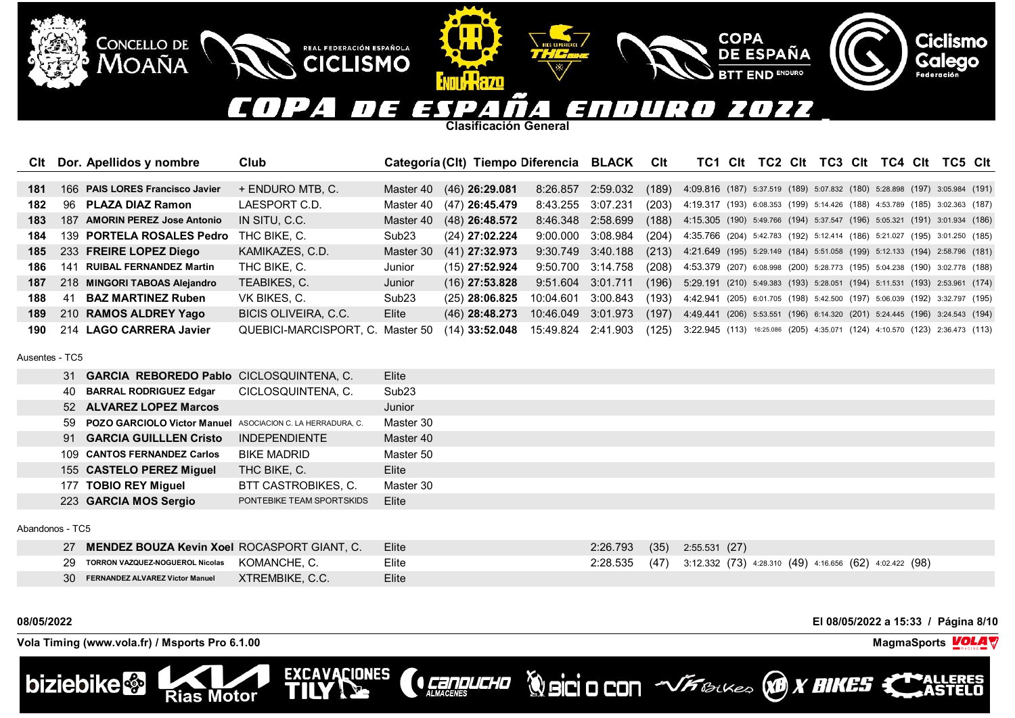#### COPA  $\boldsymbol{\mathcal{L}}$ **FE** 2022 WUR EN  $\sqrt{2}$ EП  $\mathcal{L}$

**COPA** 

**DE ESPAÑA** 

**END ENDURO** 

**Clasificación General**

**MILLLR70** 

REAL FEDERACIÓN ESPAÑOLA

**CICLISMO** 

**EXCAVACIONES** 

TII

| Clt | Dor. Apellidos y nombre         | Club                             |                   | Categoría (Clt) Tiempo Diferencia BLACK |                    |                   | <b>Clt</b> | TC1.                                                                                | Clt | TC2 Clt |  | TC3 CIt TC4 CIt | TC5 Clt |  |
|-----|---------------------------------|----------------------------------|-------------------|-----------------------------------------|--------------------|-------------------|------------|-------------------------------------------------------------------------------------|-----|---------|--|-----------------|---------|--|
|     |                                 |                                  |                   |                                         |                    |                   |            |                                                                                     |     |         |  |                 |         |  |
| 181 | 166 PAIS LORES Francisco Javier | + ENDURO MTB, C.                 |                   | Master 40 (46) 26:29.081                | 8:26.857 2:59.032  |                   | (189)      | 4:09.816 (187) 5:37.519 (189) 5:07.832 (180) 5:28.898 (197) 3:05.984 (191)          |     |         |  |                 |         |  |
| 182 | 96 PLAZA DIAZ Ramon             | LAESPORT C.D.                    | Master 40         | (47) 26:45.479                          | 8:43.255 3:07.231  |                   |            | (203) 4:19.317 (193) 6:08.353 (199) 5:14.426 (188) 4:53.789 (185) 3:02.363 (187)    |     |         |  |                 |         |  |
| 183 | 187 AMORIN PEREZ Jose Antonio   | IN SITU, C.C.                    | Master 40         | $(48)$ 26:48.572                        |                    | 8:46.348 2:58.699 |            | $(188)$ 4:15.305 (190) 5:49.766 (194) 5:37.547 (196) 5:05.321 (191) 3:01.934 (186)  |     |         |  |                 |         |  |
| 184 | 139 PORTELA ROSALES Pedro       | THC BIKE, C.                     | Sub <sub>23</sub> | $(24)$ 27:02.224                        |                    | 9:00.000 3:08.984 | (204)      | 4:35.766 (204) 5:42.783 (192) 5:12.414 (186) 5:21.027 (195) 3:01.250 (185)          |     |         |  |                 |         |  |
| 185 | 233 FREIRE LOPEZ Diego          | KAMIKAZES, C.D.                  | Master 30         | $(41)$ 27:32.973                        |                    | 9:30.749 3:40.188 |            | (213) 4:21.649 (195) 5:29.149 (184) 5:51.058 (199) 5:12.133 (194) 2:58.796 (181)    |     |         |  |                 |         |  |
| 186 | 141 RUIBAL FERNANDEZ Martin     | THC BIKE, C.                     | Junior            | $(15)$ 27:52.924                        |                    | 9:50.700 3:14.758 |            | (208) 4:53.379 (207) 6:08.998 (200) 5:28.773 (195) 5:04.238 (190) 3:02.778 (188)    |     |         |  |                 |         |  |
| 187 | 218 MINGORI TABOAS Alejandro    | TEABIKES, C.                     | Junior            | $(16)$ 27:53.828                        | 9:51.604 3:01.711  |                   |            | (196) 5:29.191 (210) 5:49.383 (193) 5:28.051 (194) 5:11.531 (193) 2:53.961 (174)    |     |         |  |                 |         |  |
| 188 | <b>BAZ MARTINEZ Ruben</b><br>41 | VK BIKES, C.                     | Sub <sub>23</sub> | $(25)$ 28:06.825                        | 10:04.601          | 3:00.843          | (193)      | 4:42.941 (205) 6:01.705 (198) 5:42.500 (197) 5:06.039 (192) 3:32.797 (195)          |     |         |  |                 |         |  |
| 189 | 210 RAMOS ALDREY Yago           | BICIS OLIVEIRA, C.C.             | Elite             | $(46)$ 28:48.273                        | 10:46.049 3:01.973 |                   | (197)      | 4:49.441 (206) 5:53.551 (196) 6:14.320 (201) 5:24.445 (196) 3:24.543 (194)          |     |         |  |                 |         |  |
| 190 | 214 LAGO CARRERA Javier         | QUEBICI-MARCISPORT, C. Master 50 |                   | $(14)$ 33:52.048 15:49.824 2:41.903     |                    |                   |            | $(125)$ 3:22.945 (113) 16:25.086 (205) 4:35.071 (124) 4:10.570 (123) 2:36.473 (113) |     |         |  |                 |         |  |

Ausentes - TC5

|  | 31 GARCIA REBOREDO Pablo CICLOSQUINTENA, C.                   |                           | Elite             |
|--|---------------------------------------------------------------|---------------------------|-------------------|
|  | 40 BARRAL RODRIGUEZ Edgar                                     | CICLOSQUINTENA, C.        | Sub <sub>23</sub> |
|  | 52 ALVAREZ LOPEZ Marcos                                       |                           | Junior            |
|  | 59 POZO GARCIOLO Victor Manuel ASOCIACION C. LA HERRADURA, C. |                           | Master 30         |
|  | 91 GARCIA GUILLLEN Cristo                                     | <b>INDEPENDIENTE</b>      | Master 40         |
|  | 109 CANTOS FERNANDEZ Carlos                                   | <b>BIKE MADRID</b>        | Master 50         |
|  | 155 CASTELO PEREZ Miguel                                      | THC BIKE, C.              | Elite             |
|  | 177 TOBIO REY Miguel                                          | BTT CASTROBIKES, C.       | Master 30         |
|  | 223 GARCIA MOS Sergio                                         | PONTEBIKE TEAM SPORTSKIDS | Elite             |
|  |                                                               |                           |                   |

Abandonos - TC5

| 7 <b>MENDEZ BOUZA Kevin Xoel</b> ROCASPORT GIANT. C.  | Elite | 2:26.793 (35) 2:55.531 (27) |                                                                       |
|-------------------------------------------------------|-------|-----------------------------|-----------------------------------------------------------------------|
| 29 TORRON VAZQUEZ-NOGUEROL Nicolas KOMANCHE, C.       | Elite |                             | 2:28.535 (47) 3:12.332 (73) 4:28.310 (49) 4:16.656 (62) 4:02.422 (98) |
| XTREMBIKE, C.C.<br>30 FERNANDEZ ALVAREZ Victor Manuel | Elite |                             |                                                                       |

**CENDUCHO** 

**08/05/2022 El 08/05/2022 a 15:33 / Página 8/10**

**Vola Timing (www.vola.fr) / Msports Pro 6.1.00 MagmaSports MagmaSports MagmaSports MagmaSports MagmaSports** 

**Rias Motor** 

CONCELLO DE

**MOAÑA** 



**Ciclismo** 

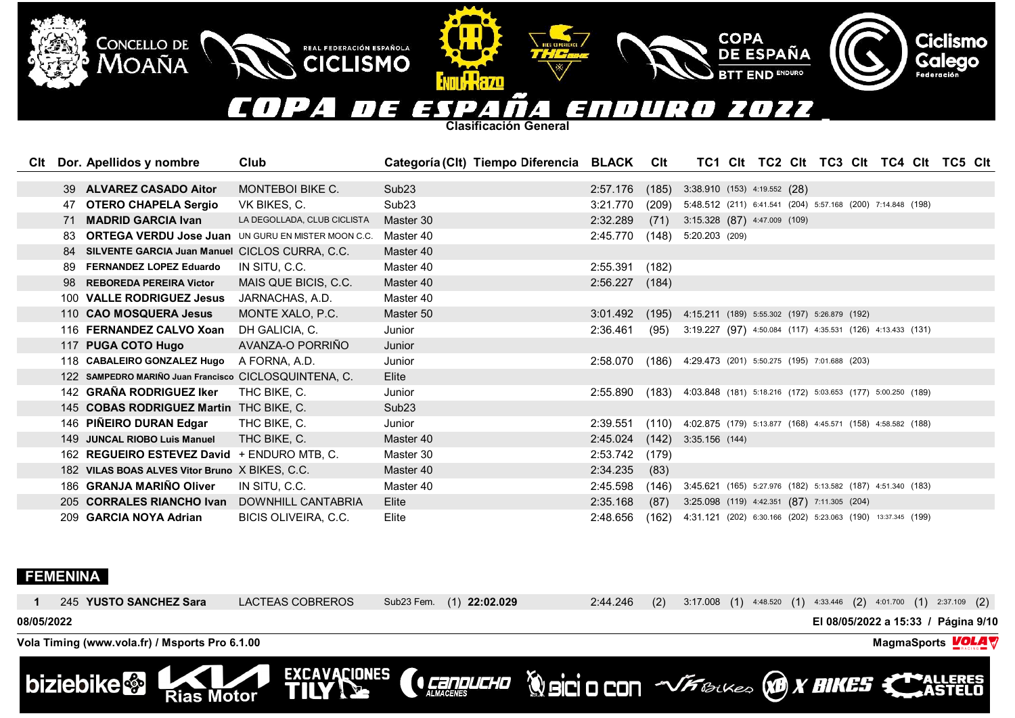#### COPA D E 7022 ESP SNDURD  $\boldsymbol{A}$  .  $\mathbf{I}$  $\overline{A}$

COPA<br>DE ESPAÑA

**BTT END ENDURO** 

**Ciclismo**<br>Galego

**Clasificación General**

**ENDI W Hazo** 

REAL FEDERACIÓN ESPAÑOLA

| Clt |     | Dor. Apellidos y nombre                                   | Club                        | Categoría (Clt) Tiempo Diferencia BLACK Clt |          |       |                                                              |  |  |  | TC1 CIt TC2 CIt TC3 CIt TC4 CIt TC5 CIt |
|-----|-----|-----------------------------------------------------------|-----------------------------|---------------------------------------------|----------|-------|--------------------------------------------------------------|--|--|--|-----------------------------------------|
|     |     |                                                           |                             |                                             |          |       |                                                              |  |  |  |                                         |
|     | 39  | <b>ALVAREZ CASADO Aitor</b>                               | <b>MONTEBOI BIKE C.</b>     | Sub <sub>23</sub>                           | 2:57.176 | (185) | $3:38.910$ (153) 4:19.552 (28)                               |  |  |  |                                         |
|     |     | 47 OTERO CHAPELA Sergio                                   | VK BIKES, C.                | Sub <sub>23</sub>                           | 3:21.770 | (209) | 5:48.512 (211) 6:41.541 (204) 5:57.168 (200) 7:14.848 (198)  |  |  |  |                                         |
|     |     | 71 MADRID GARCIA Ivan                                     | LA DEGOLLADA, CLUB CICLISTA | Master 30                                   | 2:32.289 | (71)  | $3:15.328$ $(87)$ 4:47.009 $(109)$                           |  |  |  |                                         |
|     | 83. | <b>ORTEGA VERDU Jose Juan UN GURU EN MISTER MOON C.C.</b> |                             | Master 40                                   | 2:45.770 | (148) | 5:20.203 (209)                                               |  |  |  |                                         |
|     |     | SILVENTE GARCIA Juan Manuel CICLOS CURRA, C.C.            |                             | Master 40                                   |          |       |                                                              |  |  |  |                                         |
|     | 89  | <b>FERNANDEZ LOPEZ Eduardo</b>                            | IN SITU. C.C.               | Master 40                                   | 2:55.391 | (182) |                                                              |  |  |  |                                         |
|     | 98. | <b>REBOREDA PEREIRA Victor</b>                            | MAIS QUE BICIS, C.C.        | Master 40                                   | 2:56.227 | (184) |                                                              |  |  |  |                                         |
|     |     | 100 VALLE RODRIGUEZ Jesus                                 | JARNACHAS, A.D.             | Master 40                                   |          |       |                                                              |  |  |  |                                         |
|     |     | 110 CAO MOSQUERA Jesus                                    | MONTE XALO, P.C.            | Master 50                                   | 3:01.492 | (195) | 4:15.211 (189) 5:55.302 (197) 5:26.879 (192)                 |  |  |  |                                         |
|     |     | 116 FERNANDEZ CALVO Xoan                                  | DH GALICIA, C.              | Junior                                      | 2:36.461 | (95)  | 3:19.227 (97) 4:50.084 (117) 4:35.531 (126) 4:13.433 (131)   |  |  |  |                                         |
|     |     | 117 PUGA COTO Hugo                                        | AVANZA-O PORRIÑO            | Junior                                      |          |       |                                                              |  |  |  |                                         |
|     |     | 118 CABALEIRO GONZALEZ Hugo                               | A FORNA, A.D.               | Junior                                      | 2:58.070 | (186) | 4:29.473 (201) 5:50.275 (195) 7:01.688 (203)                 |  |  |  |                                         |
|     |     | 122 SAMPEDRO MARIÑO Juan Francisco CICLOSQUINTENA, C.     |                             | Elite                                       |          |       |                                                              |  |  |  |                                         |
|     |     | 142 GRAÑA RODRIGUEZ Iker                                  | THC BIKE, C.                | Junior                                      | 2:55.890 | (183) | 4:03.848 (181) 5:18.216 (172) 5:03.653 (177) 5:00.250 (189)  |  |  |  |                                         |
|     |     | 145 COBAS RODRIGUEZ Martin THC BIKE, C.                   |                             | Sub <sub>23</sub>                           |          |       |                                                              |  |  |  |                                         |
|     |     | 146 PIÑEIRO DURAN Edgar                                   | THC BIKE, C.                | Junior                                      | 2:39.551 | (110) | 4:02.875 (179) 5:13.877 (168) 4:45.571 (158) 4:58.582 (188)  |  |  |  |                                         |
|     |     | 149 JUNCAL RIOBO Luis Manuel                              | THC BIKE, C.                | Master 40                                   | 2:45.024 | (142) | 3:35.156(144)                                                |  |  |  |                                         |
|     |     | 162 REGUEIRO ESTEVEZ David + ENDURO MTB, C.               |                             | Master 30                                   | 2:53.742 | (179) |                                                              |  |  |  |                                         |
|     |     | 182 VILAS BOAS ALVES Vitor Bruno X BIKES, C.C.            |                             | Master 40                                   | 2:34.235 | (83)  |                                                              |  |  |  |                                         |
|     |     | 186 GRANJA MARIÑO Oliver                                  | IN SITU, C.C.               | Master 40                                   | 2:45.598 | (146) | 3:45.621 (165) 5:27.976 (182) 5:13.582 (187) 4:51.340 (183)  |  |  |  |                                         |
|     |     | 205 CORRALES RIANCHO Ivan                                 | DOWNHILL CANTABRIA          | Elite                                       | 2:35.168 | (87)  | 3:25.098 (119) 4:42.351 (87) 7:11.305 (204)                  |  |  |  |                                         |
|     |     | 209 GARCIA NOYA Adrian                                    | BICIS OLIVEIRA, C.C.        | Elite                                       | 2:48.656 | (162) | 4:31.121 (202) 6:30.166 (202) 5:23.063 (190) 13:37.345 (199) |  |  |  |                                         |

# **FEMENINA**

CONCELLO DE<br>MOAÑA

| biziebike & Rias Motor                         | EXCAVACIONES     |                          |          |     | <b>CENNICHO WBCOOL WERE WELKED ANNES CONTELLERES</b>                       |
|------------------------------------------------|------------------|--------------------------|----------|-----|----------------------------------------------------------------------------|
| Vola Timing (www.vola.fr) / Msports Pro 6.1.00 |                  |                          |          |     | MagmaSports <b>VOLA</b>                                                    |
| 08/05/2022                                     |                  |                          |          |     | El 08/05/2022 a 15:33 / Página 9/10                                        |
| 245 YUSTO SANCHEZ Sara                         | LACTEAS COBREROS | Sub23 Fem. (1) 22:02.029 | 2:44.246 | (2) | $3:17.008$ (1) $4:48.520$ (1) $4:33.446$ (2) $4:01.700$ (1) $2:37.109$ (2) |
|                                                |                  |                          |          |     |                                                                            |